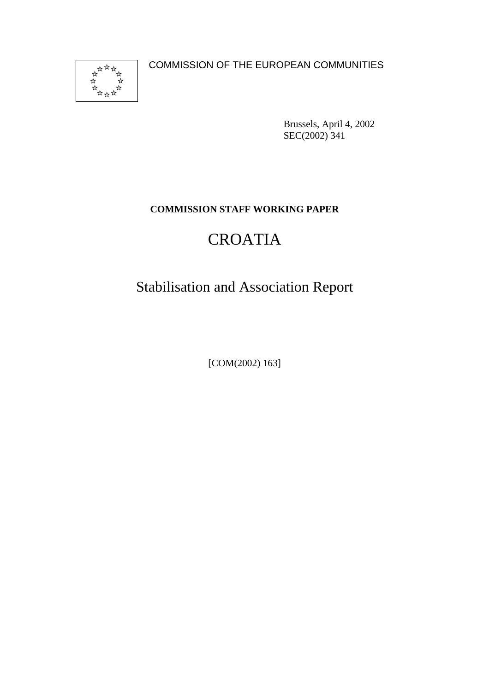

COMMISSION OF THE EUROPEAN COMMUNITIES

Brussels, April 4, 2002 SEC(2002) 341

## **COMMISSION STAFF WORKING PAPER**

## CROATIA

## Stabilisation and Association Report

[COM(2002) 163]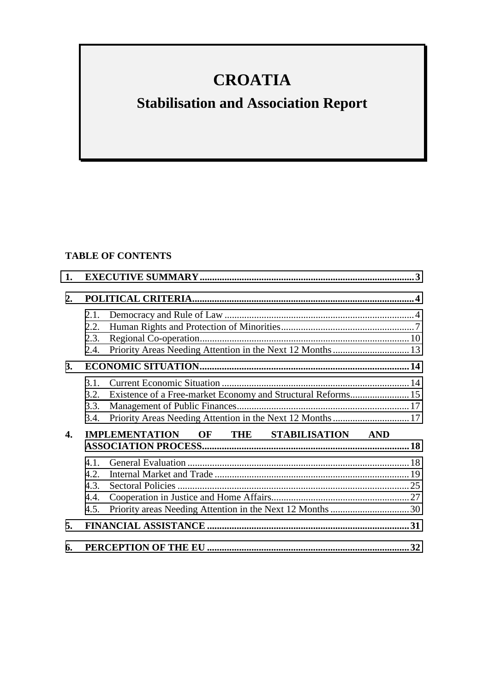## **CROATIA**

# **Stabilisation and Association Report**

## **TABLE OF CONTENTS**

| 1.             |                                         |                                                              |  |
|----------------|-----------------------------------------|--------------------------------------------------------------|--|
| 2.             |                                         |                                                              |  |
|                | 2.1.                                    |                                                              |  |
|                | 2.2.                                    |                                                              |  |
|                | 2.3.                                    |                                                              |  |
|                | 2.4.                                    |                                                              |  |
| <b>3.</b>      |                                         |                                                              |  |
|                | 3.1.                                    |                                                              |  |
|                | 3.2.                                    | Existence of a Free-market Economy and Structural Reforms 15 |  |
|                | 3.3.                                    |                                                              |  |
|                | 3.4.                                    | Priority Areas Needing Attention in the Next 12 Months  17   |  |
| $\mathbf{4}$ . | IMPLEMENTATION OF THE STABILISATION AND |                                                              |  |
|                | 4.1.                                    |                                                              |  |
|                | 4.2.                                    |                                                              |  |
|                | 4.3.                                    |                                                              |  |
|                | 4.4.                                    |                                                              |  |
|                | 4.5.                                    |                                                              |  |
| 5.             |                                         |                                                              |  |
| 6.             |                                         |                                                              |  |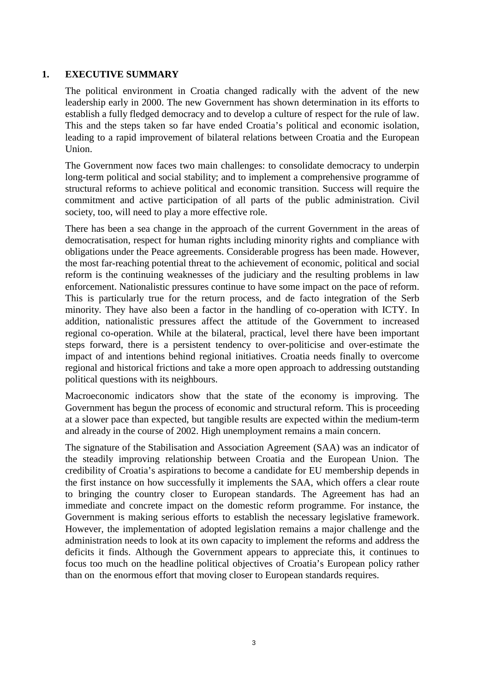#### <span id="page-2-0"></span>**1. EXECUTIVE SUMMARY**

The political environment in Croatia changed radically with the advent of the new leadership early in 2000. The new Government has shown determination in its efforts to establish a fully fledged democracy and to develop a culture of respect for the rule of law. This and the steps taken so far have ended Croatia's political and economic isolation, leading to a rapid improvement of bilateral relations between Croatia and the European Union.

The Government now faces two main challenges: to consolidate democracy to underpin long-term political and social stability; and to implement a comprehensive programme of structural reforms to achieve political and economic transition. Success will require the commitment and active participation of all parts of the public administration. Civil society, too, will need to play a more effective role.

There has been a sea change in the approach of the current Government in the areas of democratisation, respect for human rights including minority rights and compliance with obligations under the Peace agreements. Considerable progress has been made. However, the most far-reaching potential threat to the achievement of economic, political and social reform is the continuing weaknesses of the judiciary and the resulting problems in law enforcement. Nationalistic pressures continue to have some impact on the pace of reform. This is particularly true for the return process, and de facto integration of the Serb minority. They have also been a factor in the handling of co-operation with ICTY. In addition, nationalistic pressures affect the attitude of the Government to increased regional co-operation. While at the bilateral, practical, level there have been important steps forward, there is a persistent tendency to over-politicise and over-estimate the impact of and intentions behind regional initiatives. Croatia needs finally to overcome regional and historical frictions and take a more open approach to addressing outstanding political questions with its neighbours.

Macroeconomic indicators show that the state of the economy is improving. The Government has begun the process of economic and structural reform. This is proceeding at a slower pace than expected, but tangible results are expected within the medium-term and already in the course of 2002. High unemployment remains a main concern.

The signature of the Stabilisation and Association Agreement (SAA) was an indicator of the steadily improving relationship between Croatia and the European Union. The credibility of Croatia's aspirations to become a candidate for EU membership depends in the first instance on how successfully it implements the SAA, which offers a clear route to bringing the country closer to European standards. The Agreement has had an immediate and concrete impact on the domestic reform programme. For instance, the Government is making serious efforts to establish the necessary legislative framework. However, the implementation of adopted legislation remains a major challenge and the administration needs to look at its own capacity to implement the reforms and address the deficits it finds. Although the Government appears to appreciate this, it continues to focus too much on the headline political objectives of Croatia's European policy rather than on the enormous effort that moving closer to European standards requires.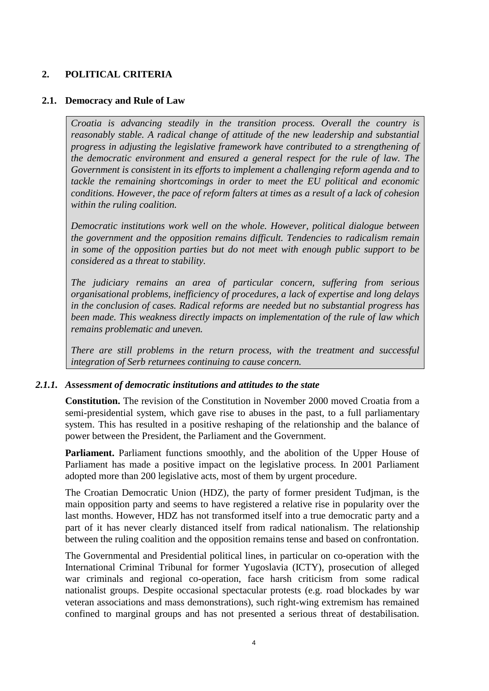## <span id="page-3-0"></span>**2. POLITICAL CRITERIA**

### **2.1. Democracy and Rule of Law**

*Croatia is advancing steadily in the transition process. Overall the country is reasonably stable. A radical change of attitude of the new leadership and substantial progress in adjusting the legislative framework have contributed to a strengthening of the democratic environment and ensured a general respect for the rule of law. The Government is consistent in its efforts to implement a challenging reform agenda and to tackle the remaining shortcomings in order to meet the EU political and economic conditions. However, the pace of reform falters at times as a result of a lack of cohesion within the ruling coalition.*

*Democratic institutions work well on the whole. However, political dialogue between the government and the opposition remains difficult. Tendencies to radicalism remain in some of the opposition parties but do not meet with enough public support to be considered as a threat to stability.*

*The judiciary remains an area of particular concern, suffering from serious organisational problems, inefficiency of procedures, a lack of expertise and long delays in the conclusion of cases. Radical reforms are needed but no substantial progress has been made. This weakness directly impacts on implementation of the rule of law which remains problematic and uneven.*

*There are still problems in the return process, with the treatment and successful integration of Serb returnees continuing to cause concern.*

#### *2.1.1. Assessment of democratic institutions and attitudes to the state*

**Constitution.** The revision of the Constitution in November 2000 moved Croatia from a semi-presidential system, which gave rise to abuses in the past, to a full parliamentary system. This has resulted in a positive reshaping of the relationship and the balance of power between the President, the Parliament and the Government.

Parliament. Parliament functions smoothly, and the abolition of the Upper House of Parliament has made a positive impact on the legislative process*.* In 2001 Parliament adopted more than 200 legislative acts, most of them by urgent procedure.

The Croatian Democratic Union (HDZ), the party of former president Tuđjman, is the main opposition party and seems to have registered a relative rise in popularity over the last months. However, HDZ has not transformed itself into a true democratic party and a part of it has never clearly distanced itself from radical nationalism. The relationship between the ruling coalition and the opposition remains tense and based on confrontation.

The Governmental and Presidential political lines, in particular on co-operation with the International Criminal Tribunal for former Yugoslavia (ICTY), prosecution of alleged war criminals and regional co-operation, face harsh criticism from some radical nationalist groups. Despite occasional spectacular protests (e.g. road blockades by war veteran associations and mass demonstrations), such right-wing extremism has remained confined to marginal groups and has not presented a serious threat of destabilisation.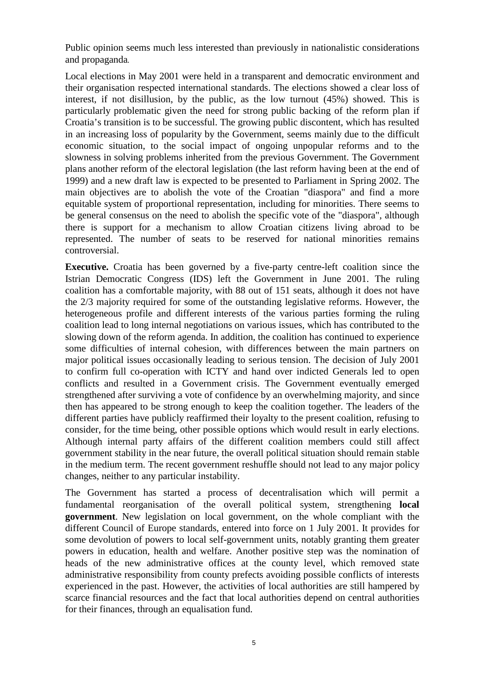Public opinion seems much less interested than previously in nationalistic considerations and propaganda*.*

Local elections in May 2001 were held in a transparent and democratic environment and their organisation respected international standards. The elections showed a clear loss of interest, if not disillusion, by the public, as the low turnout (45%) showed. This is particularly problematic given the need for strong public backing of the reform plan if Croatia's transition is to be successful. The growing public discontent, which has resulted in an increasing loss of popularity by the Government, seems mainly due to the difficult economic situation, to the social impact of ongoing unpopular reforms and to the slowness in solving problems inherited from the previous Government. The Government plans another reform of the electoral legislation (the last reform having been at the end of 1999) and a new draft law is expected to be presented to Parliament in Spring 2002. The main objectives are to abolish the vote of the Croatian "diaspora" and find a more equitable system of proportional representation, including for minorities. There seems to be general consensus on the need to abolish the specific vote of the "diaspora", although there is support for a mechanism to allow Croatian citizens living abroad to be represented. The number of seats to be reserved for national minorities remains controversial.

**Executive.** Croatia has been governed by a five-party centre-left coalition since the Istrian Democratic Congress (IDS) left the Government in June 2001. The ruling coalition has a comfortable majority, with 88 out of 151 seats, although it does not have the 2/3 majority required for some of the outstanding legislative reforms. However, the heterogeneous profile and different interests of the various parties forming the ruling coalition lead to long internal negotiations on various issues, which has contributed to the slowing down of the reform agenda. In addition, the coalition has continued to experience some difficulties of internal cohesion, with differences between the main partners on major political issues occasionally leading to serious tension. The decision of July 2001 to confirm full co-operation with ICTY and hand over indicted Generals led to open conflicts and resulted in a Government crisis. The Government eventually emerged strengthened after surviving a vote of confidence by an overwhelming majority, and since then has appeared to be strong enough to keep the coalition together. The leaders of the different parties have publicly reaffirmed their loyalty to the present coalition, refusing to consider, for the time being, other possible options which would result in early elections. Although internal party affairs of the different coalition members could still affect government stability in the near future, the overall political situation should remain stable in the medium term. The recent government reshuffle should not lead to any major policy changes, neither to any particular instability.

The Government has started a process of decentralisation which will permit a fundamental reorganisation of the overall political system, strengthening **local government**. New legislation on local government, on the whole compliant with the different Council of Europe standards, entered into force on 1 July 2001. It provides for some devolution of powers to local self-government units, notably granting them greater powers in education, health and welfare. Another positive step was the nomination of heads of the new administrative offices at the county level, which removed state administrative responsibility from county prefects avoiding possible conflicts of interests experienced in the past. However, the activities of local authorities are still hampered by scarce financial resources and the fact that local authorities depend on central authorities for their finances, through an equalisation fund.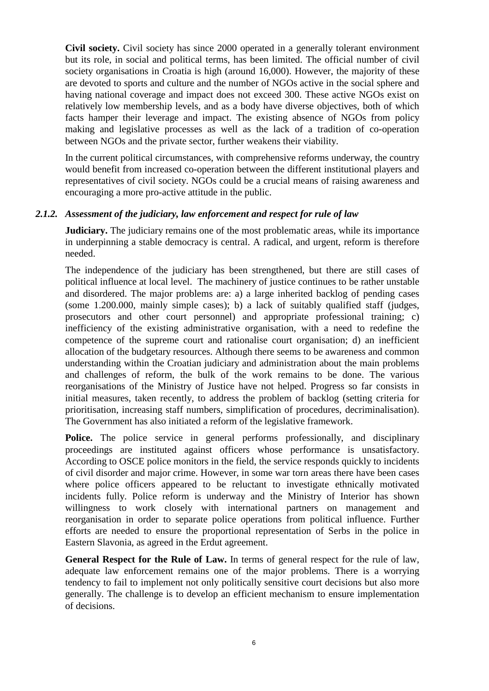**Civil society.** Civil society has since 2000 operated in a generally tolerant environment but its role, in social and political terms, has been limited. The official number of civil society organisations in Croatia is high (around 16,000). However, the majority of these are devoted to sports and culture and the number of NGOs active in the social sphere and having national coverage and impact does not exceed 300. These active NGOs exist on relatively low membership levels, and as a body have diverse objectives, both of which facts hamper their leverage and impact. The existing absence of NGOs from policy making and legislative processes as well as the lack of a tradition of co-operation between NGOs and the private sector, further weakens their viability.

In the current political circumstances, with comprehensive reforms underway, the country would benefit from increased co-operation between the different institutional players and representatives of civil society. NGOs could be a crucial means of raising awareness and encouraging a more pro-active attitude in the public.

#### *2.1.2. Assessment of the judiciary, law enforcement and respect for rule of law*

**Judiciary.** The judiciary remains one of the most problematic areas, while its importance in underpinning a stable democracy is central. A radical, and urgent, reform is therefore needed.

The independence of the judiciary has been strengthened, but there are still cases of political influence at local level. The machinery of justice continues to be rather unstable and disordered. The major problems are: a) a large inherited backlog of pending cases (some 1.200.000, mainly simple cases); b) a lack of suitably qualified staff (judges, prosecutors and other court personnel) and appropriate professional training; c) inefficiency of the existing administrative organisation, with a need to redefine the competence of the supreme court and rationalise court organisation; d) an inefficient allocation of the budgetary resources. Although there seems to be awareness and common understanding within the Croatian judiciary and administration about the main problems and challenges of reform, the bulk of the work remains to be done. The various reorganisations of the Ministry of Justice have not helped. Progress so far consists in initial measures, taken recently, to address the problem of backlog (setting criteria for prioritisation, increasing staff numbers, simplification of procedures, decriminalisation). The Government has also initiated a reform of the legislative framework.

**Police.** The police service in general performs professionally, and disciplinary proceedings are instituted against officers whose performance is unsatisfactory. According to OSCE police monitors in the field, the service responds quickly to incidents of civil disorder and major crime. However, in some war torn areas there have been cases where police officers appeared to be reluctant to investigate ethnically motivated incidents fully. Police reform is underway and the Ministry of Interior has shown willingness to work closely with international partners on management and reorganisation in order to separate police operations from political influence. Further efforts are needed to ensure the proportional representation of Serbs in the police in Eastern Slavonia, as agreed in the Erdut agreement.

**General Respect for the Rule of Law.** In terms of general respect for the rule of law, adequate law enforcement remains one of the major problems. There is a worrying tendency to fail to implement not only politically sensitive court decisions but also more generally. The challenge is to develop an efficient mechanism to ensure implementation of decisions.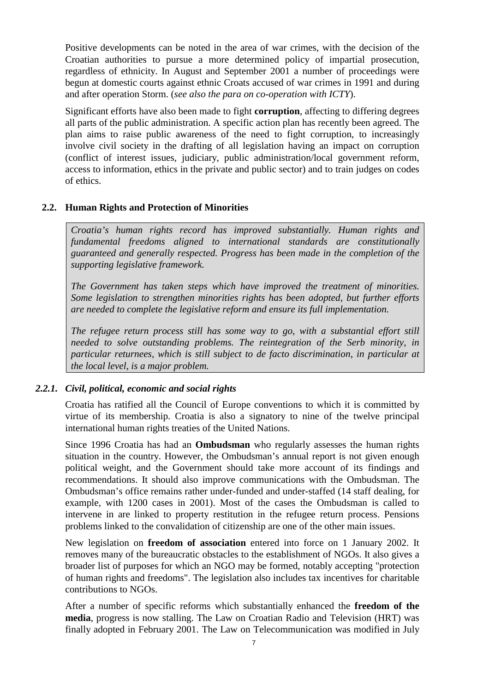<span id="page-6-0"></span>Positive developments can be noted in the area of war crimes, with the decision of the Croatian authorities to pursue a more determined policy of impartial prosecution, regardless of ethnicity. In August and September 2001 a number of proceedings were begun at domestic courts against ethnic Croats accused of war crimes in 1991 and during and after operation Storm. (*see also the para on co-operation with ICTY*).

Significant efforts have also been made to fight **corruption**, affecting to differing degrees all parts of the public administration. A specific action plan has recently been agreed. The plan aims to raise public awareness of the need to fight corruption, to increasingly involve civil society in the drafting of all legislation having an impact on corruption (conflict of interest issues, judiciary, public administration/local government reform, access to information, ethics in the private and public sector) and to train judges on codes of ethics.

#### **2.2. Human Rights and Protection of Minorities**

*Croatia's human rights record has improved substantially. Human rights and fundamental freedoms aligned to international standards are constitutionally guaranteed and generally respected. Progress has been made in the completion of the supporting legislative framework.*

*The Government has taken steps which have improved the treatment of minorities. Some legislation to strengthen minorities rights has been adopted, but further efforts are needed to complete the legislative reform and ensure its full implementation.*

*The refugee return process still has some way to go, with a substantial effort still needed to solve outstanding problems. The reintegration of the Serb minority, in particular returnees, which is still subject to de facto discrimination, in particular at the local level, is a major problem.*

## *2.2.1. Civil, political, economic and social rights*

Croatia has ratified all the Council of Europe conventions to which it is committed by virtue of its membership. Croatia is also a signatory to nine of the twelve principal international human rights treaties of the United Nations.

Since 1996 Croatia has had an **Ombudsman** who regularly assesses the human rights situation in the country. However, the Ombudsman's annual report is not given enough political weight, and the Government should take more account of its findings and recommendations. It should also improve communications with the Ombudsman. The Ombudsman's office remains rather under-funded and under-staffed (14 staff dealing, for example, with 1200 cases in 2001). Most of the cases the Ombudsman is called to intervene in are linked to property restitution in the refugee return process. Pensions problems linked to the convalidation of citizenship are one of the other main issues.

New legislation on **freedom of association** entered into force on 1 January 2002. It removes many of the bureaucratic obstacles to the establishment of NGOs. It also gives a broader list of purposes for which an NGO may be formed, notably accepting "protection of human rights and freedoms". The legislation also includes tax incentives for charitable contributions to NGOs.

After a number of specific reforms which substantially enhanced the **freedom of the media**, progress is now stalling. The Law on Croatian Radio and Television (HRT) was finally adopted in February 2001. The Law on Telecommunication was modified in July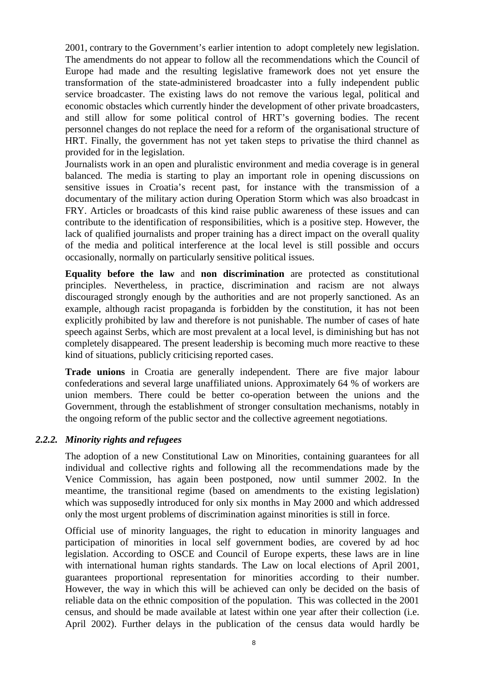2001, contrary to the Government's earlier intention to adopt completely new legislation. The amendments do not appear to follow all the recommendations which the Council of Europe had made and the resulting legislative framework does not yet ensure the transformation of the state-administered broadcaster into a fully independent public service broadcaster. The existing laws do not remove the various legal, political and economic obstacles which currently hinder the development of other private broadcasters, and still allow for some political control of HRT's governing bodies. The recent personnel changes do not replace the need for a reform of the organisational structure of HRT. Finally, the government has not yet taken steps to privatise the third channel as provided for in the legislation.

Journalists work in an open and pluralistic environment and media coverage is in general balanced. The media is starting to play an important role in opening discussions on sensitive issues in Croatia's recent past, for instance with the transmission of a documentary of the military action during Operation Storm which was also broadcast in FRY. Articles or broadcasts of this kind raise public awareness of these issues and can contribute to the identification of responsibilities, which is a positive step. However, the lack of qualified journalists and proper training has a direct impact on the overall quality of the media and political interference at the local level is still possible and occurs occasionally, normally on particularly sensitive political issues.

**Equality before the law** and **non discrimination** are protected as constitutional principles. Nevertheless, in practice, discrimination and racism are not always discouraged strongly enough by the authorities and are not properly sanctioned. As an example, although racist propaganda is forbidden by the constitution, it has not been explicitly prohibited by law and therefore is not punishable. The number of cases of hate speech against Serbs, which are most prevalent at a local level, is diminishing but has not completely disappeared. The present leadership is becoming much more reactive to these kind of situations, publicly criticising reported cases.

**Trade unions** in Croatia are generally independent. There are five major labour confederations and several large unaffiliated unions. Approximately 64 % of workers are union members. There could be better co-operation between the unions and the Government, through the establishment of stronger consultation mechanisms, notably in the ongoing reform of the public sector and the collective agreement negotiations.

#### *2.2.2. Minority rights and refugees*

The adoption of a new Constitutional Law on Minorities, containing guarantees for all individual and collective rights and following all the recommendations made by the Venice Commission, has again been postponed, now until summer 2002. In the meantime, the transitional regime (based on amendments to the existing legislation) which was supposedly introduced for only six months in May 2000 and which addressed only the most urgent problems of discrimination against minorities is still in force.

Official use of minority languages, the right to education in minority languages and participation of minorities in local self government bodies, are covered by ad hoc legislation. According to OSCE and Council of Europe experts, these laws are in line with international human rights standards. The Law on local elections of April 2001, guarantees proportional representation for minorities according to their number. However, the way in which this will be achieved can only be decided on the basis of reliable data on the ethnic composition of the population. This was collected in the 2001 census, and should be made available at latest within one year after their collection (i.e. April 2002). Further delays in the publication of the census data would hardly be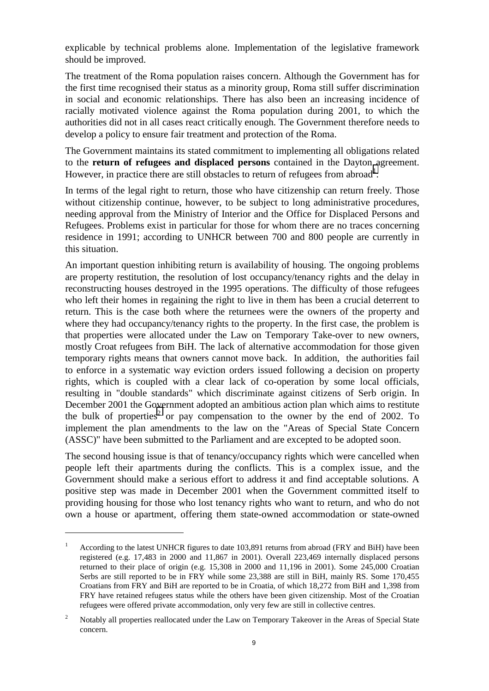explicable by technical problems alone. Implementation of the legislative framework should be improved.

The treatment of the Roma population raises concern. Although the Government has for the first time recognised their status as a minority group, Roma still suffer discrimination in social and economic relationships. There has also been an increasing incidence of racially motivated violence against the Roma population during 2001, to which the authorities did not in all cases react critically enough. The Government therefore needs to develop a policy to ensure fair treatment and protection of the Roma.

The Government maintains its stated commitment to implementing all obligations related to the **return of refugees and displaced persons** contained in the Dayton agreement. However, in practice there are still obstacles to return of refugees from abroad<sup>1</sup>.

In terms of the legal right to return, those who have citizenship can return freely. Those without citizenship continue, however, to be subject to long administrative procedures, needing approval from the Ministry of Interior and the Office for Displaced Persons and Refugees. Problems exist in particular for those for whom there are no traces concerning residence in 1991; according to UNHCR between 700 and 800 people are currently in this situation.

An important question inhibiting return is availability of housing. The ongoing problems are property restitution, the resolution of lost occupancy/tenancy rights and the delay in reconstructing houses destroyed in the 1995 operations. The difficulty of those refugees who left their homes in regaining the right to live in them has been a crucial deterrent to return. This is the case both where the returnees were the owners of the property and where they had occupancy/tenancy rights to the property. In the first case, the problem is that properties were allocated under the Law on Temporary Take-over to new owners, mostly Croat refugees from BiH. The lack of alternative accommodation for those given temporary rights means that owners cannot move back. In addition, the authorities fail to enforce in a systematic way eviction orders issued following a decision on property rights, which is coupled with a clear lack of co-operation by some local officials, resulting in "double standards" which discriminate against citizens of Serb origin. In December 2001 the Government adopted an ambitious action plan which aims to restitute the bulk of properties<sup>2</sup> or pay compensation to the owner by the end of 2002. To implement the plan amendments to the law on the "Areas of Special State Concern (ASSC)" have been submitted to the Parliament and are excepted to be adopted soon.

The second housing issue is that of tenancy/occupancy rights which were cancelled when people left their apartments during the conflicts. This is a complex issue, and the Government should make a serious effort to address it and find acceptable solutions. A positive step was made in December 2001 when the Government committed itself to providing housing for those who lost tenancy rights who want to return, and who do not own a house or apartment, offering them state-owned accommodation or state-owned

<sup>&</sup>lt;sup>1</sup> According to the latest UNHCR figures to date 103,891 returns from abroad (FRY and BiH) have been registered (e.g. 17,483 in 2000 and 11,867 in 2001). Overall 223,469 internally displaced persons returned to their place of origin (e.g. 15,308 in 2000 and 11,196 in 2001). Some 245,000 Croatian Serbs are still reported to be in FRY while some 23,388 are still in BiH, mainly RS. Some 170,455 Croatians from FRY and BiH are reported to be in Croatia, of which 18,272 from BiH and 1,398 from FRY have retained refugees status while the others have been given citizenship. Most of the Croatian refugees were offered private accommodation, only very few are still in collective centres.

<sup>&</sup>lt;sup>2</sup> Notably all properties reallocated under the Law on Temporary Takeover in the Areas of Special State concern.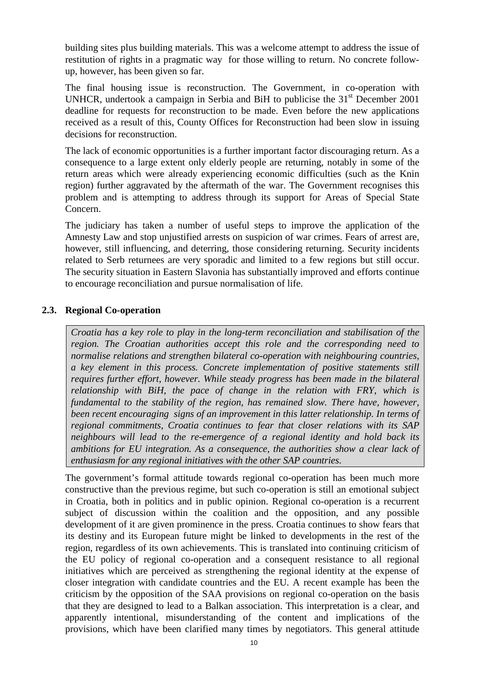<span id="page-9-0"></span>building sites plus building materials. This was a welcome attempt to address the issue of restitution of rights in a pragmatic way for those willing to return. No concrete followup, however, has been given so far.

The final housing issue is reconstruction. The Government, in co-operation with UNHCR, undertook a campaign in Serbia and BiH to publicise the  $31<sup>st</sup>$  December 2001 deadline for requests for reconstruction to be made. Even before the new applications received as a result of this, County Offices for Reconstruction had been slow in issuing decisions for reconstruction.

The lack of economic opportunities is a further important factor discouraging return. As a consequence to a large extent only elderly people are returning, notably in some of the return areas which were already experiencing economic difficulties (such as the Knin region) further aggravated by the aftermath of the war. The Government recognises this problem and is attempting to address through its support for Areas of Special State Concern.

The judiciary has taken a number of useful steps to improve the application of the Amnesty Law and stop unjustified arrests on suspicion of war crimes. Fears of arrest are, however, still influencing, and deterring, those considering returning. Security incidents related to Serb returnees are very sporadic and limited to a few regions but still occur. The security situation in Eastern Slavonia has substantially improved and efforts continue to encourage reconciliation and pursue normalisation of life.

#### **2.3. Regional Co-operation**

*Croatia has a key role to play in the long-term reconciliation and stabilisation of the region. The Croatian authorities accept this role and the corresponding need to normalise relations and strengthen bilateral co-operation with neighbouring countries, a key element in this process. Concrete implementation of positive statements still requires further effort, however. While steady progress has been made in the bilateral relationship with BiH, the pace of change in the relation with FRY, which is fundamental to the stability of the region, has remained slow. There have, however, been recent encouraging signs of an improvement in this latter relationship. In terms of regional commitments, Croatia continues to fear that closer relations with its SAP neighbours will lead to the re-emergence of a regional identity and hold back its ambitions for EU integration. As a consequence, the authorities show a clear lack of enthusiasm for any regional initiatives with the other SAP countries.*

The government's formal attitude towards regional co-operation has been much more constructive than the previous regime, but such co-operation is still an emotional subject in Croatia, both in politics and in public opinion. Regional co-operation is a recurrent subject of discussion within the coalition and the opposition, and any possible development of it are given prominence in the press. Croatia continues to show fears that its destiny and its European future might be linked to developments in the rest of the region, regardless of its own achievements. This is translated into continuing criticism of the EU policy of regional co-operation and a consequent resistance to all regional initiatives which are perceived as strengthening the regional identity at the expense of closer integration with candidate countries and the EU. A recent example has been the criticism by the opposition of the SAA provisions on regional co-operation on the basis that they are designed to lead to a Balkan association. This interpretation is a clear, and apparently intentional, misunderstanding of the content and implications of the provisions, which have been clarified many times by negotiators. This general attitude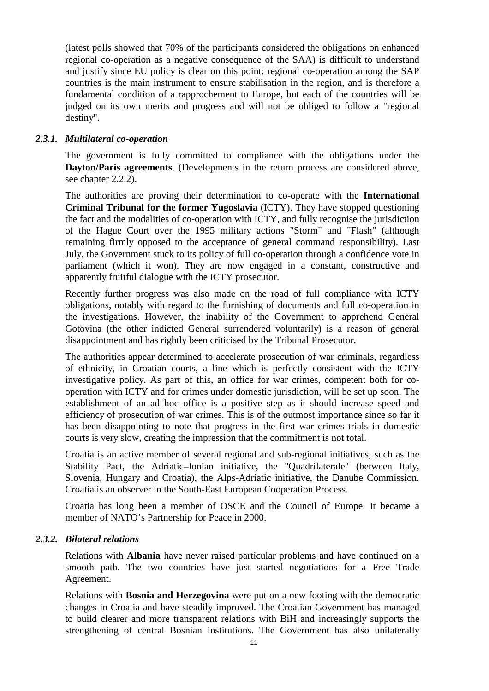(latest polls showed that 70% of the participants considered the obligations on enhanced regional co-operation as a negative consequence of the SAA) is difficult to understand and justify since EU policy is clear on this point: regional co-operation among the SAP countries is the main instrument to ensure stabilisation in the region, and is therefore a fundamental condition of a rapprochement to Europe, but each of the countries will be judged on its own merits and progress and will not be obliged to follow a "regional destiny".

#### *2.3.1. Multilateral co-operation*

The government is fully committed to compliance with the obligations under the **Dayton/Paris agreements**. (Developments in the return process are considered above, see chapter 2.2.2).

The authorities are proving their determination to co-operate with the **International Criminal Tribunal for the former Yugoslavia** (ICTY). They have stopped questioning the fact and the modalities of co-operation with ICTY, and fully recognise the jurisdiction of the Hague Court over the 1995 military actions "Storm" and "Flash" (although remaining firmly opposed to the acceptance of general command responsibility). Last July, the Government stuck to its policy of full co-operation through a confidence vote in parliament (which it won). They are now engaged in a constant, constructive and apparently fruitful dialogue with the ICTY prosecutor.

Recently further progress was also made on the road of full compliance with ICTY obligations, notably with regard to the furnishing of documents and full co-operation in the investigations. However, the inability of the Government to apprehend General Gotovina (the other indicted General surrendered voluntarily) is a reason of general disappointment and has rightly been criticised by the Tribunal Prosecutor.

The authorities appear determined to accelerate prosecution of war criminals, regardless of ethnicity, in Croatian courts, a line which is perfectly consistent with the ICTY investigative policy. As part of this, an office for war crimes, competent both for cooperation with ICTY and for crimes under domestic jurisdiction, will be set up soon. The establishment of an ad hoc office is a positive step as it should increase speed and efficiency of prosecution of war crimes. This is of the outmost importance since so far it has been disappointing to note that progress in the first war crimes trials in domestic courts is very slow, creating the impression that the commitment is not total.

Croatia is an active member of several regional and sub-regional initiatives, such as the Stability Pact, the Adriatic–Ionian initiative, the "Quadrilaterale" (between Italy, Slovenia, Hungary and Croatia), the Alps-Adriatic initiative, the Danube Commission. Croatia is an observer in the South-East European Cooperation Process.

Croatia has long been a member of OSCE and the Council of Europe. It became a member of NATO's Partnership for Peace in 2000.

## *2.3.2. Bilateral relations*

Relations with **Albania** have never raised particular problems and have continued on a smooth path. The two countries have just started negotiations for a Free Trade Agreement.

Relations with **Bosnia and Herzegovina** were put on a new footing with the democratic changes in Croatia and have steadily improved. The Croatian Government has managed to build clearer and more transparent relations with BiH and increasingly supports the strengthening of central Bosnian institutions. The Government has also unilaterally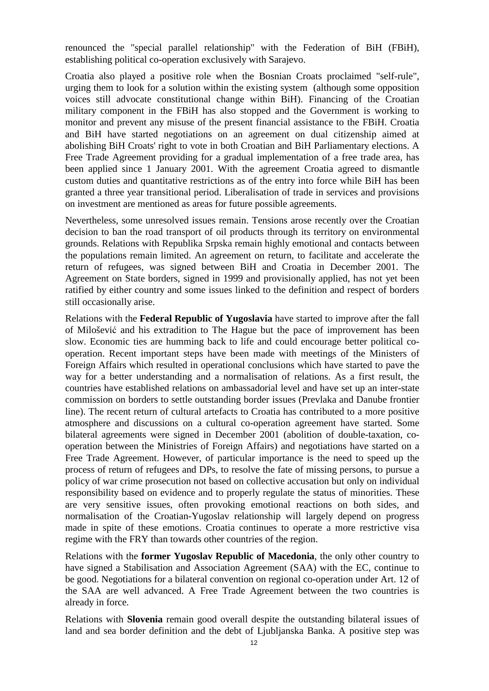renounced the "special parallel relationship" with the Federation of BiH (FBiH), establishing political co-operation exclusively with Sarajevo.

Croatia also played a positive role when the Bosnian Croats proclaimed "self-rule", urging them to look for a solution within the existing system (although some opposition voices still advocate constitutional change within BiH). Financing of the Croatian military component in the FBiH has also stopped and the Government is working to monitor and prevent any misuse of the present financial assistance to the FBiH. Croatia and BiH have started negotiations on an agreement on dual citizenship aimed at abolishing BiH Croats' right to vote in both Croatian and BiH Parliamentary elections. A Free Trade Agreement providing for a gradual implementation of a free trade area, has been applied since 1 January 2001. With the agreement Croatia agreed to dismantle custom duties and quantitative restrictions as of the entry into force while BiH has been granted a three year transitional period. Liberalisation of trade in services and provisions on investment are mentioned as areas for future possible agreements.

Nevertheless, some unresolved issues remain. Tensions arose recently over the Croatian decision to ban the road transport of oil products through its territory on environmental grounds. Relations with Republika Srpska remain highly emotional and contacts between the populations remain limited. An agreement on return, to facilitate and accelerate the return of refugees, was signed between BiH and Croatia in December 2001. The Agreement on State borders, signed in 1999 and provisionally applied, has not yet been ratified by either country and some issues linked to the definition and respect of borders still occasionally arise.

Relations with the **Federal Republic of Yugoslavia** have started to improve after the fall of Milošević and his extradition to The Hague but the pace of improvement has been slow. Economic ties are humming back to life and could encourage better political cooperation. Recent important steps have been made with meetings of the Ministers of Foreign Affairs which resulted in operational conclusions which have started to pave the way for a better understanding and a normalisation of relations. As a first result, the countries have established relations on ambassadorial level and have set up an inter-state commission on borders to settle outstanding border issues (Prevlaka and Danube frontier line). The recent return of cultural artefacts to Croatia has contributed to a more positive atmosphere and discussions on a cultural co-operation agreement have started. Some bilateral agreements were signed in December 2001 (abolition of double-taxation, cooperation between the Ministries of Foreign Affairs) and negotiations have started on a Free Trade Agreement. However, of particular importance is the need to speed up the process of return of refugees and DPs, to resolve the fate of missing persons, to pursue a policy of war crime prosecution not based on collective accusation but only on individual responsibility based on evidence and to properly regulate the status of minorities. These are very sensitive issues, often provoking emotional reactions on both sides, and normalisation of the Croatian-Yugoslav relationship will largely depend on progress made in spite of these emotions. Croatia continues to operate a more restrictive visa regime with the FRY than towards other countries of the region.

Relations with the **former Yugoslav Republic of Macedonia**, the only other country to have signed a Stabilisation and Association Agreement (SAA) with the EC, continue to be good. Negotiations for a bilateral convention on regional co-operation under Art. 12 of the SAA are well advanced. A Free Trade Agreement between the two countries is already in force.

Relations with **Slovenia** remain good overall despite the outstanding bilateral issues of land and sea border definition and the debt of Ljubljanska Banka. A positive step was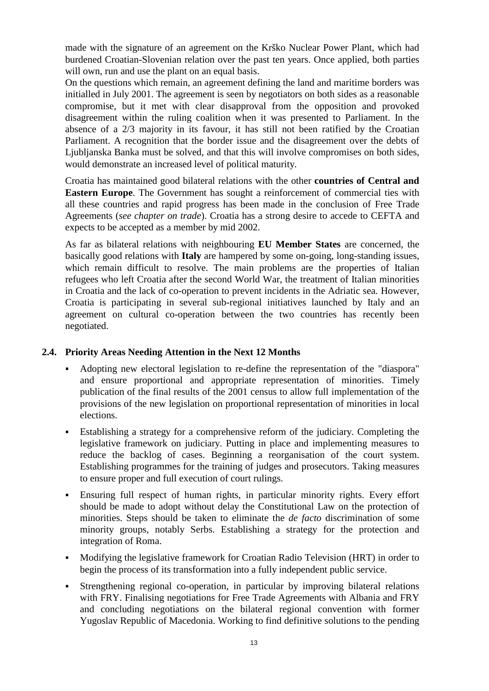<span id="page-12-0"></span>made with the signature of an agreement on the Krško Nuclear Power Plant, which had burdened Croatian-Slovenian relation over the past ten years. Once applied, both parties will own, run and use the plant on an equal basis.

On the questions which remain, an agreement defining the land and maritime borders was initialled in July 2001. The agreement is seen by negotiators on both sides as a reasonable compromise, but it met with clear disapproval from the opposition and provoked disagreement within the ruling coalition when it was presented to Parliament. In the absence of a 2/3 majority in its favour, it has still not been ratified by the Croatian Parliament. A recognition that the border issue and the disagreement over the debts of Ljubljanska Banka must be solved, and that this will involve compromises on both sides, would demonstrate an increased level of political maturity.

Croatia has maintained good bilateral relations with the other **countries of Central and Eastern Europe**. The Government has sought a reinforcement of commercial ties with all these countries and rapid progress has been made in the conclusion of Free Trade Agreements (*see chapter on trade*). Croatia has a strong desire to accede to CEFTA and expects to be accepted as a member by mid 2002.

As far as bilateral relations with neighbouring **EU Member States** are concerned, the basically good relations with **Italy** are hampered by some on-going, long-standing issues, which remain difficult to resolve. The main problems are the properties of Italian refugees who left Croatia after the second World War, the treatment of Italian minorities in Croatia and the lack of co-operation to prevent incidents in the Adriatic sea. However, Croatia is participating in several sub-regional initiatives launched by Italy and an agreement on cultural co-operation between the two countries has recently been negotiated.

#### **2.4. Priority Areas Needing Attention in the Next 12 Months**

- Adopting new electoral legislation to re-define the representation of the "diaspora" and ensure proportional and appropriate representation of minorities. Timely publication of the final results of the 2001 census to allow full implementation of the provisions of the new legislation on proportional representation of minorities in local elections.
- Establishing a strategy for a comprehensive reform of the judiciary. Completing the legislative framework on judiciary. Putting in place and implementing measures to reduce the backlog of cases. Beginning a reorganisation of the court system. Establishing programmes for the training of judges and prosecutors. Taking measures to ensure proper and full execution of court rulings.
- Ensuring full respect of human rights, in particular minority rights. Every effort should be made to adopt without delay the Constitutional Law on the protection of minorities. Steps should be taken to eliminate the *de facto* discrimination of some minority groups, notably Serbs. Establishing a strategy for the protection and integration of Roma.
- Modifying the legislative framework for Croatian Radio Television (HRT) in order to begin the process of its transformation into a fully independent public service.
- Strengthening regional co-operation, in particular by improving bilateral relations with FRY. Finalising negotiations for Free Trade Agreements with Albania and FRY and concluding negotiations on the bilateral regional convention with former Yugoslav Republic of Macedonia. Working to find definitive solutions to the pending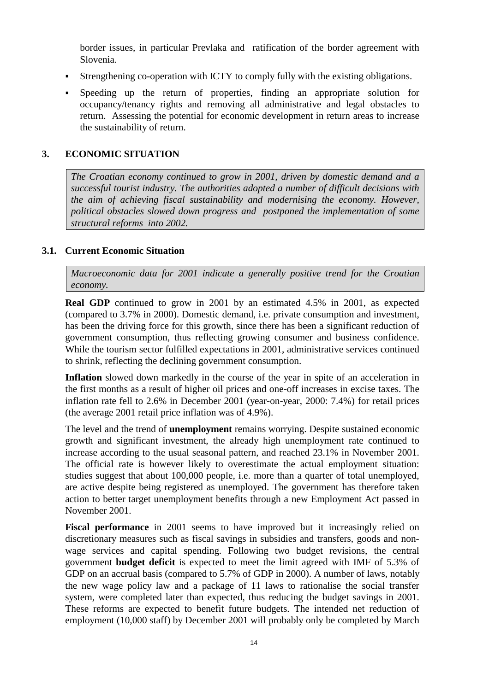<span id="page-13-0"></span>border issues, in particular Prevlaka and ratification of the border agreement with Slovenia.

- Strengthening co-operation with ICTY to comply fully with the existing obligations.
- Speeding up the return of properties, finding an appropriate solution for occupancy/tenancy rights and removing all administrative and legal obstacles to return. Assessing the potential for economic development in return areas to increase the sustainability of return.

#### **3. ECONOMIC SITUATION**

*The Croatian economy continued to grow in 2001, driven by domestic demand and a successful tourist industry. The authorities adopted a number of difficult decisions with the aim of achieving fiscal sustainability and modernising the economy. However, political obstacles slowed down progress and postponed the implementation of some structural reforms into 2002.*

#### **3.1. Current Economic Situation**

*Macroeconomic data for 2001 indicate a generally positive trend for the Croatian economy.*

**Real GDP** continued to grow in 2001 by an estimated 4.5% in 2001, as expected (compared to 3.7% in 2000). Domestic demand, i.e. private consumption and investment, has been the driving force for this growth, since there has been a significant reduction of government consumption, thus reflecting growing consumer and business confidence. While the tourism sector fulfilled expectations in 2001, administrative services continued to shrink, reflecting the declining government consumption.

**Inflation** slowed down markedly in the course of the year in spite of an acceleration in the first months as a result of higher oil prices and one-off increases in excise taxes. The inflation rate fell to 2.6% in December 2001 (year-on-year, 2000: 7.4%) for retail prices (the average 2001 retail price inflation was of 4.9%).

The level and the trend of **unemployment** remains worrying. Despite sustained economic growth and significant investment, the already high unemployment rate continued to increase according to the usual seasonal pattern, and reached 23.1% in November 2001. The official rate is however likely to overestimate the actual employment situation: studies suggest that about 100,000 people, i.e. more than a quarter of total unemployed, are active despite being registered as unemployed. The government has therefore taken action to better target unemployment benefits through a new Employment Act passed in November 2001.

**Fiscal performance** in 2001 seems to have improved but it increasingly relied on discretionary measures such as fiscal savings in subsidies and transfers, goods and nonwage services and capital spending. Following two budget revisions, the central government **budget deficit** is expected to meet the limit agreed with IMF of 5.3% of GDP on an accrual basis (compared to 5.7% of GDP in 2000). A number of laws, notably the new wage policy law and a package of 11 laws to rationalise the social transfer system, were completed later than expected, thus reducing the budget savings in 2001. These reforms are expected to benefit future budgets. The intended net reduction of employment (10,000 staff) by December 2001 will probably only be completed by March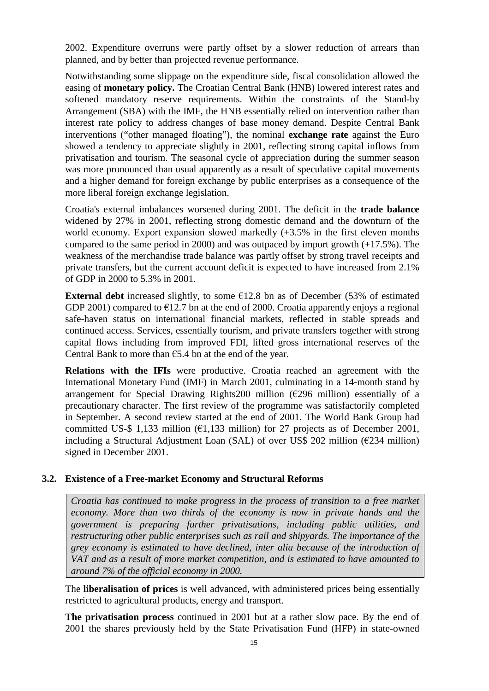<span id="page-14-0"></span>2002. Expenditure overruns were partly offset by a slower reduction of arrears than planned, and by better than projected revenue performance.

Notwithstanding some slippage on the expenditure side, fiscal consolidation allowed the easing of **monetary policy.** The Croatian Central Bank (HNB) lowered interest rates and softened mandatory reserve requirements. Within the constraints of the Stand-by Arrangement (SBA) with the IMF, the HNB essentially relied on intervention rather than interest rate policy to address changes of base money demand. Despite Central Bank interventions ("other managed floating"), the nominal **exchange rate** against the Euro showed a tendency to appreciate slightly in 2001, reflecting strong capital inflows from privatisation and tourism. The seasonal cycle of appreciation during the summer season was more pronounced than usual apparently as a result of speculative capital movements and a higher demand for foreign exchange by public enterprises as a consequence of the more liberal foreign exchange legislation.

Croatia's external imbalances worsened during 2001. The deficit in the **trade balance** widened by 27% in 2001, reflecting strong domestic demand and the downturn of the world economy. Export expansion slowed markedly  $(+3.5\%$  in the first eleven months compared to the same period in 2000) and was outpaced by import growth (+17.5%). The weakness of the merchandise trade balance was partly offset by strong travel receipts and private transfers, but the current account deficit is expected to have increased from 2.1% of GDP in 2000 to 5.3% in 2001.

**External debt** increased slightly, to some  $\epsilon$ 12.8 bn as of December (53% of estimated GDP 2001) compared to  $\epsilon$ 12.7 bn at the end of 2000. Croatia apparently enjoys a regional safe-haven status on international financial markets, reflected in stable spreads and continued access. Services, essentially tourism, and private transfers together with strong capital flows including from improved FDI, lifted gross international reserves of the Central Bank to more than  $\epsilon$ 5.4 bn at the end of the year.

**Relations with the IFIs** were productive. Croatia reached an agreement with the International Monetary Fund (IMF) in March 2001, culminating in a 14-month stand by arrangement for Special Drawing Rights200 million ( $\epsilon$ 296 million) essentially of a precautionary character. The first review of the programme was satisfactorily completed in September. A second review started at the end of 2001. The World Bank Group had committed US-\$ 1,133 million ( $\epsilon$ 1,133 million) for 27 projects as of December 2001, including a Structural Adjustment Loan (SAL) of over US\$ 202 million ( $\epsilon$ 234 million) signed in December 2001.

#### **3.2. Existence of a Free-market Economy and Structural Reforms**

*Croatia has continued to make progress in the process of transition to a free market economy. More than two thirds of the economy is now in private hands and the government is preparing further privatisations, including public utilities, and restructuring other public enterprises such as rail and shipyards. The importance of the grey economy is estimated to have declined, inter alia because of the introduction of VAT and as a result of more market competition, and is estimated to have amounted to around 7% of the official economy in 2000.*

The **liberalisation of prices** is well advanced, with administered prices being essentially restricted to agricultural products, energy and transport.

**The privatisation process** continued in 2001 but at a rather slow pace. By the end of 2001 the shares previously held by the State Privatisation Fund (HFP) in state-owned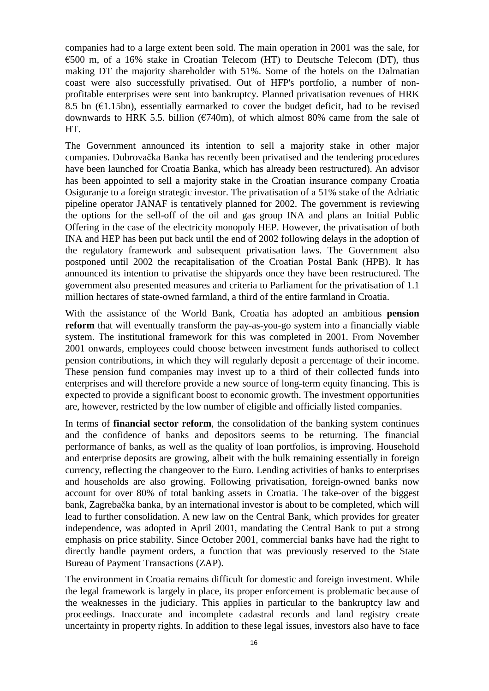companies had to a large extent been sold. The main operation in 2001 was the sale, for  $\epsilon$ 500 m, of a 16% stake in Croatian Telecom (HT) to Deutsche Telecom (DT), thus making DT the majority shareholder with 51%. Some of the hotels on the Dalmatian coast were also successfully privatised. Out of HFP's portfolio, a number of nonprofitable enterprises were sent into bankruptcy. Planned privatisation revenues of HRK 8.5 bn  $(\epsilon 1.15bn)$ , essentially earmarked to cover the budget deficit, had to be revised downwards to HRK 5.5. billion ( $\epsilon$ 740m), of which almost 80% came from the sale of HT.

The Government announced its intention to sell a majority stake in other major companies. Dubrovačka Banka has recently been privatised and the tendering procedures have been launched for Croatia Banka, which has already been restructured). An advisor has been appointed to sell a majority stake in the Croatian insurance company Croatia Osiguranje to a foreign strategic investor. The privatisation of a 51% stake of the Adriatic pipeline operator JANAF is tentatively planned for 2002. The government is reviewing the options for the sell-off of the oil and gas group INA and plans an Initial Public Offering in the case of the electricity monopoly HEP. However, the privatisation of both INA and HEP has been put back until the end of 2002 following delays in the adoption of the regulatory framework and subsequent privatisation laws. The Government also postponed until 2002 the recapitalisation of the Croatian Postal Bank (HPB). It has announced its intention to privatise the shipyards once they have been restructured. The government also presented measures and criteria to Parliament for the privatisation of 1.1 million hectares of state-owned farmland, a third of the entire farmland in Croatia.

With the assistance of the World Bank, Croatia has adopted an ambitious **pension reform** that will eventually transform the pay-as-you-go system into a financially viable system. The institutional framework for this was completed in 2001. From November 2001 onwards, employees could choose between investment funds authorised to collect pension contributions, in which they will regularly deposit a percentage of their income. These pension fund companies may invest up to a third of their collected funds into enterprises and will therefore provide a new source of long-term equity financing. This is expected to provide a significant boost to economic growth. The investment opportunities are, however, restricted by the low number of eligible and officially listed companies.

In terms of **financial sector reform**, the consolidation of the banking system continues and the confidence of banks and depositors seems to be returning. The financial performance of banks, as well as the quality of loan portfolios, is improving. Household and enterprise deposits are growing, albeit with the bulk remaining essentially in foreign currency, reflecting the changeover to the Euro. Lending activities of banks to enterprises and households are also growing. Following privatisation, foreign-owned banks now account for over 80% of total banking assets in Croatia. The take-over of the biggest bank, Zagrebačka banka, by an international investor is about to be completed, which will lead to further consolidation. A new law on the Central Bank, which provides for greater independence, was adopted in April 2001, mandating the Central Bank to put a strong emphasis on price stability. Since October 2001, commercial banks have had the right to directly handle payment orders, a function that was previously reserved to the State Bureau of Payment Transactions (ZAP).

The environment in Croatia remains difficult for domestic and foreign investment. While the legal framework is largely in place, its proper enforcement is problematic because of the weaknesses in the judiciary. This applies in particular to the bankruptcy law and proceedings. Inaccurate and incomplete cadastral records and land registry create uncertainty in property rights. In addition to these legal issues, investors also have to face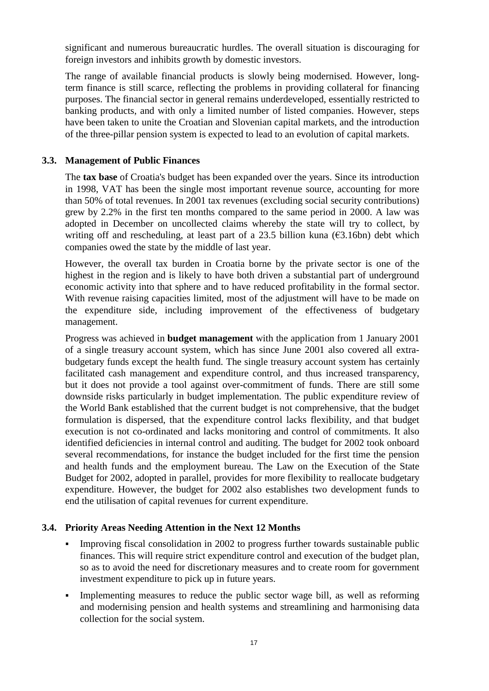<span id="page-16-0"></span>significant and numerous bureaucratic hurdles. The overall situation is discouraging for foreign investors and inhibits growth by domestic investors.

The range of available financial products is slowly being modernised. However, longterm finance is still scarce, reflecting the problems in providing collateral for financing purposes. The financial sector in general remains underdeveloped, essentially restricted to banking products, and with only a limited number of listed companies. However, steps have been taken to unite the Croatian and Slovenian capital markets, and the introduction of the three-pillar pension system is expected to lead to an evolution of capital markets.

#### **3.3. Management of Public Finances**

The **tax base** of Croatia's budget has been expanded over the years. Since its introduction in 1998, VAT has been the single most important revenue source, accounting for more than 50% of total revenues. In 2001 tax revenues (excluding social security contributions) grew by 2.2% in the first ten months compared to the same period in 2000. A law was adopted in December on uncollected claims whereby the state will try to collect, by writing off and rescheduling, at least part of a 23.5 billion kuna  $(63.16bn)$  debt which companies owed the state by the middle of last year.

However, the overall tax burden in Croatia borne by the private sector is one of the highest in the region and is likely to have both driven a substantial part of underground economic activity into that sphere and to have reduced profitability in the formal sector. With revenue raising capacities limited, most of the adjustment will have to be made on the expenditure side, including improvement of the effectiveness of budgetary management.

Progress was achieved in **budget management** with the application from 1 January 2001 of a single treasury account system, which has since June 2001 also covered all extrabudgetary funds except the health fund. The single treasury account system has certainly facilitated cash management and expenditure control, and thus increased transparency, but it does not provide a tool against over-commitment of funds. There are still some downside risks particularly in budget implementation. The public expenditure review of the World Bank established that the current budget is not comprehensive, that the budget formulation is dispersed, that the expenditure control lacks flexibility, and that budget execution is not co-ordinated and lacks monitoring and control of commitments. It also identified deficiencies in internal control and auditing. The budget for 2002 took onboard several recommendations, for instance the budget included for the first time the pension and health funds and the employment bureau. The Law on the Execution of the State Budget for 2002, adopted in parallel, provides for more flexibility to reallocate budgetary expenditure. However, the budget for 2002 also establishes two development funds to end the utilisation of capital revenues for current expenditure.

#### **3.4. Priority Areas Needing Attention in the Next 12 Months**

- Improving fiscal consolidation in 2002 to progress further towards sustainable public finances. This will require strict expenditure control and execution of the budget plan, so as to avoid the need for discretionary measures and to create room for government investment expenditure to pick up in future years.
- Implementing measures to reduce the public sector wage bill, as well as reforming and modernising pension and health systems and streamlining and harmonising data collection for the social system.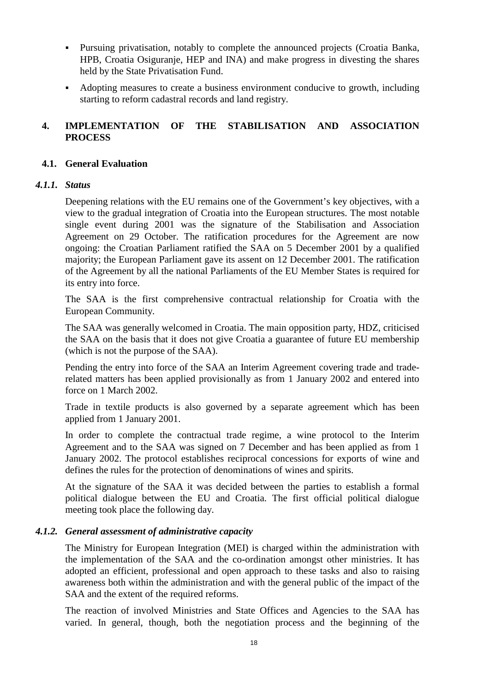- <span id="page-17-0"></span> Pursuing privatisation, notably to complete the announced projects (Croatia Banka, HPB, Croatia Osiguranje, HEP and INA) and make progress in divesting the shares held by the State Privatisation Fund.
- Adopting measures to create a business environment conducive to growth, including starting to reform cadastral records and land registry.

## **4. IMPLEMENTATION OF THE STABILISATION AND ASSOCIATION PROCESS**

#### **4.1. General Evaluation**

#### *4.1.1. Status*

Deepening relations with the EU remains one of the Government's key objectives, with a view to the gradual integration of Croatia into the European structures. The most notable single event during 2001 was the signature of the Stabilisation and Association Agreement on 29 October. The ratification procedures for the Agreement are now ongoing: the Croatian Parliament ratified the SAA on 5 December 2001 by a qualified majority; the European Parliament gave its assent on 12 December 2001. The ratification of the Agreement by all the national Parliaments of the EU Member States is required for its entry into force.

The SAA is the first comprehensive contractual relationship for Croatia with the European Community.

The SAA was generally welcomed in Croatia. The main opposition party, HDZ, criticised the SAA on the basis that it does not give Croatia a guarantee of future EU membership (which is not the purpose of the SAA).

Pending the entry into force of the SAA an Interim Agreement covering trade and traderelated matters has been applied provisionally as from 1 January 2002 and entered into force on 1 March 2002.

Trade in textile products is also governed by a separate agreement which has been applied from 1 January 2001.

In order to complete the contractual trade regime, a wine protocol to the Interim Agreement and to the SAA was signed on 7 December and has been applied as from 1 January 2002. The protocol establishes reciprocal concessions for exports of wine and defines the rules for the protection of denominations of wines and spirits.

At the signature of the SAA it was decided between the parties to establish a formal political dialogue between the EU and Croatia. The first official political dialogue meeting took place the following day.

#### *4.1.2. General assessment of administrative capacity*

The Ministry for European Integration (MEI) is charged within the administration with the implementation of the SAA and the co-ordination amongst other ministries. It has adopted an efficient, professional and open approach to these tasks and also to raising awareness both within the administration and with the general public of the impact of the SAA and the extent of the required reforms.

The reaction of involved Ministries and State Offices and Agencies to the SAA has varied. In general, though, both the negotiation process and the beginning of the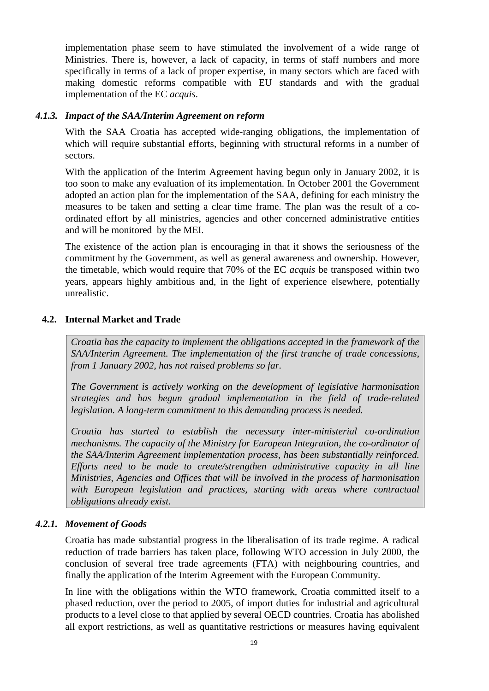<span id="page-18-0"></span>implementation phase seem to have stimulated the involvement of a wide range of Ministries. There is, however, a lack of capacity, in terms of staff numbers and more specifically in terms of a lack of proper expertise, in many sectors which are faced with making domestic reforms compatible with EU standards and with the gradual implementation of the EC *acquis*.

#### *4.1.3. Impact of the SAA/Interim Agreement on reform*

With the SAA Croatia has accepted wide-ranging obligations, the implementation of which will require substantial efforts, beginning with structural reforms in a number of sectors.

With the application of the Interim Agreement having begun only in January 2002, it is too soon to make any evaluation of its implementation. In October 2001 the Government adopted an action plan for the implementation of the SAA, defining for each ministry the measures to be taken and setting a clear time frame. The plan was the result of a coordinated effort by all ministries, agencies and other concerned administrative entities and will be monitored by the MEI.

The existence of the action plan is encouraging in that it shows the seriousness of the commitment by the Government, as well as general awareness and ownership. However, the timetable, which would require that 70% of the EC *acquis* be transposed within two years, appears highly ambitious and, in the light of experience elsewhere, potentially unrealistic.

## **4.2. Internal Market and Trade**

*Croatia has the capacity to implement the obligations accepted in the framework of the SAA/Interim Agreement. The implementation of the first tranche of trade concessions, from 1 January 2002, has not raised problems so far.*

*The Government is actively working on the development of legislative harmonisation strategies and has begun gradual implementation in the field of trade-related legislation. A long-term commitment to this demanding process is needed.*

*Croatia has started to establish the necessary inter-ministerial co-ordination mechanisms. The capacity of the Ministry for European Integration, the co-ordinator of the SAA/Interim Agreement implementation process, has been substantially reinforced. Efforts need to be made to create/strengthen administrative capacity in all line Ministries, Agencies and Offices that will be involved in the process of harmonisation with European legislation and practices, starting with areas where contractual obligations already exist.*

## *4.2.1. Movement of Goods*

Croatia has made substantial progress in the liberalisation of its trade regime. A radical reduction of trade barriers has taken place, following WTO accession in July 2000, the conclusion of several free trade agreements (FTA) with neighbouring countries, and finally the application of the Interim Agreement with the European Community.

In line with the obligations within the WTO framework, Croatia committed itself to a phased reduction, over the period to 2005, of import duties for industrial and agricultural products to a level close to that applied by several OECD countries. Croatia has abolished all export restrictions, as well as quantitative restrictions or measures having equivalent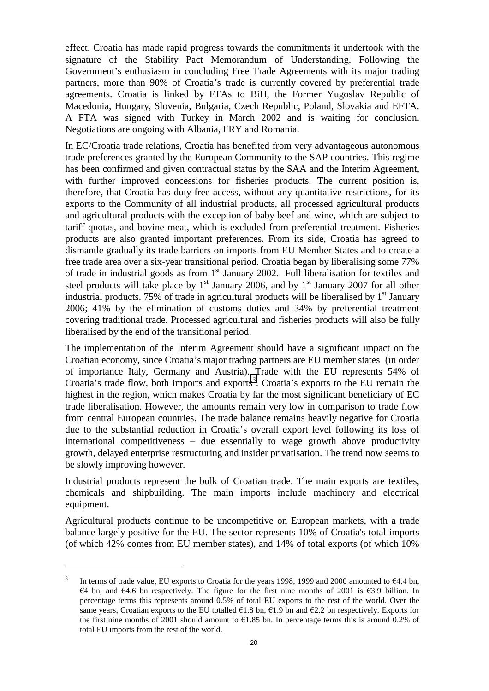effect. Croatia has made rapid progress towards the commitments it undertook with the signature of the Stability Pact Memorandum of Understanding. Following the Government's enthusiasm in concluding Free Trade Agreements with its major trading partners, more than 90% of Croatia's trade is currently covered by preferential trade agreements. Croatia is linked by FTAs to BiH, the Former Yugoslav Republic of Macedonia, Hungary, Slovenia, Bulgaria, Czech Republic, Poland, Slovakia and EFTA. A FTA was signed with Turkey in March 2002 and is waiting for conclusion. Negotiations are ongoing with Albania, FRY and Romania.

In EC/Croatia trade relations, Croatia has benefited from very advantageous autonomous trade preferences granted by the European Community to the SAP countries. This regime has been confirmed and given contractual status by the SAA and the Interim Agreement, with further improved concessions for fisheries products. The current position is, therefore, that Croatia has duty-free access, without any quantitative restrictions, for its exports to the Community of all industrial products, all processed agricultural products and agricultural products with the exception of baby beef and wine, which are subject to tariff quotas, and bovine meat, which is excluded from preferential treatment. Fisheries products are also granted important preferences. From its side, Croatia has agreed to dismantle gradually its trade barriers on imports from EU Member States and to create a free trade area over a six-year transitional period. Croatia began by liberalising some 77% of trade in industrial goods as from  $1<sup>st</sup>$  January 2002. Full liberalisation for textiles and steel products will take place by  $1<sup>st</sup>$  January 2006, and by  $1<sup>st</sup>$  January 2007 for all other industrial products. 75% of trade in agricultural products will be liberalised by  $1<sup>st</sup>$  January 2006; 41% by the elimination of customs duties and 34% by preferential treatment covering traditional trade. Processed agricultural and fisheries products will also be fully liberalised by the end of the transitional period.

The implementation of the Interim Agreement should have a significant impact on the Croatian economy, since Croatia's major trading partners are EU member states (in order of importance Italy, Germany and Austria). Trade with the EU represents 54% of Croatia's trade flow, both imports and exports<sup>3</sup>. Croatia's exports to the EU remain the highest in the region, which makes Croatia by far the most significant beneficiary of EC trade liberalisation. However, the amounts remain very low in comparison to trade flow from central European countries. The trade balance remains heavily negative for Croatia due to the substantial reduction in Croatia's overall export level following its loss of international competitiveness – due essentially to wage growth above productivity growth, delayed enterprise restructuring and insider privatisation. The trend now seems to be slowly improving however.

Industrial products represent the bulk of Croatian trade. The main exports are textiles, chemicals and shipbuilding. The main imports include machinery and electrical equipment.

Agricultural products continue to be uncompetitive on European markets, with a trade balance largely positive for the EU. The sector represents 10% of Croatia's total imports (of which 42% comes from EU member states), and 14% of total exports (of which 10%

<sup>&</sup>lt;sup>3</sup> In terms of trade value, EU exports to Croatia for the years 1998, 1999 and 2000 amounted to  $64.4$  bn,  $64$  bn, and  $64.6$  bn respectively. The figure for the first nine months of 2001 is  $63.9$  billion. In percentage terms this represents around 0.5% of total EU exports to the rest of the world. Over the same years, Croatian exports to the EU totalled  $61.8$  bn,  $61.9$  bn and  $62.2$  bn respectively. Exports for the first nine months of 2001 should amount to  $61.85$  bn. In percentage terms this is around 0.2% of total EU imports from the rest of the world.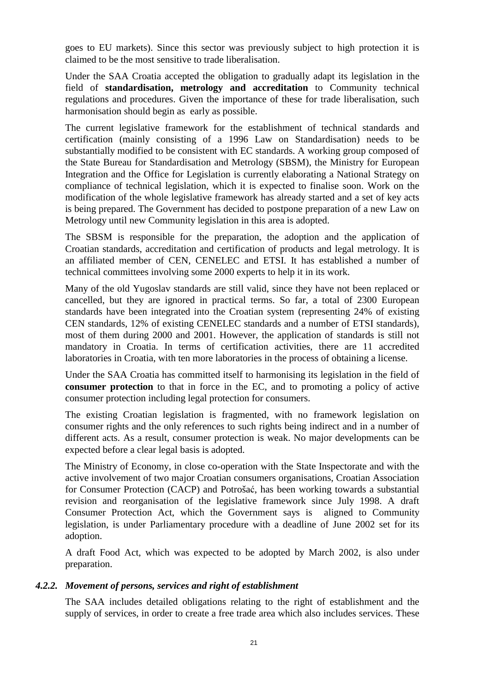goes to EU markets). Since this sector was previously subject to high protection it is claimed to be the most sensitive to trade liberalisation.

Under the SAA Croatia accepted the obligation to gradually adapt its legislation in the field of **standardisation, metrology and accreditation** to Community technical regulations and procedures. Given the importance of these for trade liberalisation, such harmonisation should begin as early as possible.

The current legislative framework for the establishment of technical standards and certification (mainly consisting of a 1996 Law on Standardisation) needs to be substantially modified to be consistent with EC standards. A working group composed of the State Bureau for Standardisation and Metrology (SBSM), the Ministry for European Integration and the Office for Legislation is currently elaborating a National Strategy on compliance of technical legislation, which it is expected to finalise soon. Work on the modification of the whole legislative framework has already started and a set of key acts is being prepared. The Government has decided to postpone preparation of a new Law on Metrology until new Community legislation in this area is adopted.

The SBSM is responsible for the preparation, the adoption and the application of Croatian standards, accreditation and certification of products and legal metrology. It is an affiliated member of CEN, CENELEC and ETSI. It has established a number of technical committees involving some 2000 experts to help it in its work.

Many of the old Yugoslav standards are still valid, since they have not been replaced or cancelled, but they are ignored in practical terms. So far, a total of 2300 European standards have been integrated into the Croatian system (representing 24% of existing CEN standards, 12% of existing CENELEC standards and a number of ETSI standards), most of them during 2000 and 2001. However, the application of standards is still not mandatory in Croatia. In terms of certification activities, there are 11 accredited laboratories in Croatia, with ten more laboratories in the process of obtaining a license.

Under the SAA Croatia has committed itself to harmonising its legislation in the field of **consumer protection** to that in force in the EC, and to promoting a policy of active consumer protection including legal protection for consumers.

The existing Croatian legislation is fragmented, with no framework legislation on consumer rights and the only references to such rights being indirect and in a number of different acts. As a result, consumer protection is weak. No major developments can be expected before a clear legal basis is adopted.

The Ministry of Economy, in close co-operation with the State Inspectorate and with the active involvement of two major Croatian consumers organisations, Croatian Association for Consumer Protection (CACP) and Potrošać, has been working towards a substantial revision and reorganisation of the legislative framework since July 1998. A draft Consumer Protection Act, which the Government says is aligned to Community legislation, is under Parliamentary procedure with a deadline of June 2002 set for its adoption.

A draft Food Act, which was expected to be adopted by March 2002, is also under preparation.

#### *4.2.2. Movement of persons, services and right of establishment*

The SAA includes detailed obligations relating to the right of establishment and the supply of services, in order to create a free trade area which also includes services. These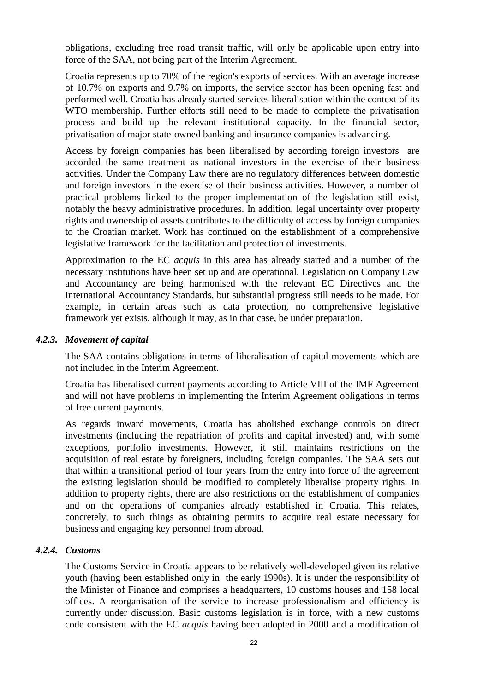obligations, excluding free road transit traffic, will only be applicable upon entry into force of the SAA, not being part of the Interim Agreement.

Croatia represents up to 70% of the region's exports of services. With an average increase of 10.7% on exports and 9.7% on imports, the service sector has been opening fast and performed well. Croatia has already started services liberalisation within the context of its WTO membership. Further efforts still need to be made to complete the privatisation process and build up the relevant institutional capacity. In the financial sector, privatisation of major state-owned banking and insurance companies is advancing.

Access by foreign companies has been liberalised by according foreign investors are accorded the same treatment as national investors in the exercise of their business activities. Under the Company Law there are no regulatory differences between domestic and foreign investors in the exercise of their business activities. However, a number of practical problems linked to the proper implementation of the legislation still exist, notably the heavy administrative procedures. In addition, legal uncertainty over property rights and ownership of assets contributes to the difficulty of access by foreign companies to the Croatian market. Work has continued on the establishment of a comprehensive legislative framework for the facilitation and protection of investments.

Approximation to the EC *acquis* in this area has already started and a number of the necessary institutions have been set up and are operational. Legislation on Company Law and Accountancy are being harmonised with the relevant EC Directives and the International Accountancy Standards, but substantial progress still needs to be made. For example, in certain areas such as data protection, no comprehensive legislative framework yet exists, although it may, as in that case, be under preparation.

#### *4.2.3. Movement of capital*

The SAA contains obligations in terms of liberalisation of capital movements which are not included in the Interim Agreement.

Croatia has liberalised current payments according to Article VIII of the IMF Agreement and will not have problems in implementing the Interim Agreement obligations in terms of free current payments.

As regards inward movements, Croatia has abolished exchange controls on direct investments (including the repatriation of profits and capital invested) and, with some exceptions, portfolio investments. However, it still maintains restrictions on the acquisition of real estate by foreigners, including foreign companies. The SAA sets out that within a transitional period of four years from the entry into force of the agreement the existing legislation should be modified to completely liberalise property rights. In addition to property rights, there are also restrictions on the establishment of companies and on the operations of companies already established in Croatia. This relates, concretely, to such things as obtaining permits to acquire real estate necessary for business and engaging key personnel from abroad.

#### *4.2.4. Customs*

The Customs Service in Croatia appears to be relatively well-developed given its relative youth (having been established only in the early 1990s). It is under the responsibility of the Minister of Finance and comprises a headquarters, 10 customs houses and 158 local offices. A reorganisation of the service to increase professionalism and efficiency is currently under discussion. Basic customs legislation is in force, with a new customs code consistent with the EC *acquis* having been adopted in 2000 and a modification of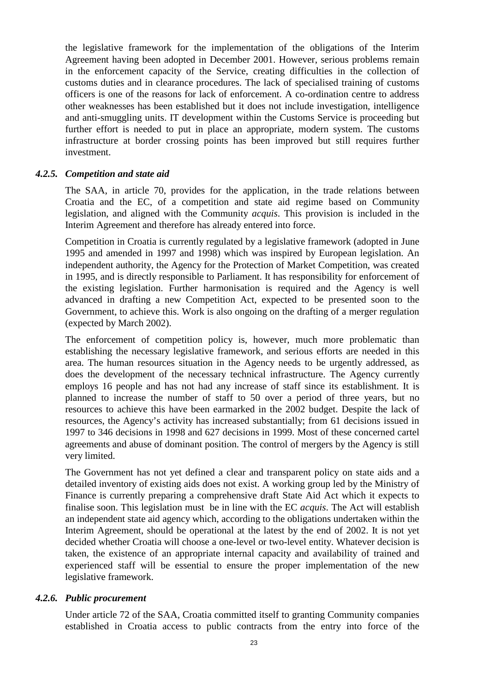the legislative framework for the implementation of the obligations of the Interim Agreement having been adopted in December 2001. However, serious problems remain in the enforcement capacity of the Service, creating difficulties in the collection of customs duties and in clearance procedures. The lack of specialised training of customs officers is one of the reasons for lack of enforcement. A co-ordination centre to address other weaknesses has been established but it does not include investigation, intelligence and anti-smuggling units. IT development within the Customs Service is proceeding but further effort is needed to put in place an appropriate, modern system. The customs infrastructure at border crossing points has been improved but still requires further investment.

#### *4.2.5. Competition and state aid*

The SAA, in article 70, provides for the application, in the trade relations between Croatia and the EC, of a competition and state aid regime based on Community legislation, and aligned with the Community *acquis*. This provision is included in the Interim Agreement and therefore has already entered into force.

Competition in Croatia is currently regulated by a legislative framework (adopted in June 1995 and amended in 1997 and 1998) which was inspired by European legislation. An independent authority, the Agency for the Protection of Market Competition, was created in 1995, and is directly responsible to Parliament. It has responsibility for enforcement of the existing legislation. Further harmonisation is required and the Agency is well advanced in drafting a new Competition Act, expected to be presented soon to the Government, to achieve this. Work is also ongoing on the drafting of a merger regulation (expected by March 2002).

The enforcement of competition policy is, however, much more problematic than establishing the necessary legislative framework, and serious efforts are needed in this area. The human resources situation in the Agency needs to be urgently addressed, as does the development of the necessary technical infrastructure. The Agency currently employs 16 people and has not had any increase of staff since its establishment. It is planned to increase the number of staff to 50 over a period of three years, but no resources to achieve this have been earmarked in the 2002 budget. Despite the lack of resources, the Agency's activity has increased substantially; from 61 decisions issued in 1997 to 346 decisions in 1998 and 627 decisions in 1999. Most of these concerned cartel agreements and abuse of dominant position. The control of mergers by the Agency is still very limited.

The Government has not yet defined a clear and transparent policy on state aids and a detailed inventory of existing aids does not exist. A working group led by the Ministry of Finance is currently preparing a comprehensive draft State Aid Act which it expects to finalise soon. This legislation must be in line with the EC *acquis*. The Act will establish an independent state aid agency which, according to the obligations undertaken within the Interim Agreement, should be operational at the latest by the end of 2002. It is not yet decided whether Croatia will choose a one-level or two-level entity. Whatever decision is taken, the existence of an appropriate internal capacity and availability of trained and experienced staff will be essential to ensure the proper implementation of the new legislative framework.

#### *4.2.6. Public procurement*

Under article 72 of the SAA, Croatia committed itself to granting Community companies established in Croatia access to public contracts from the entry into force of the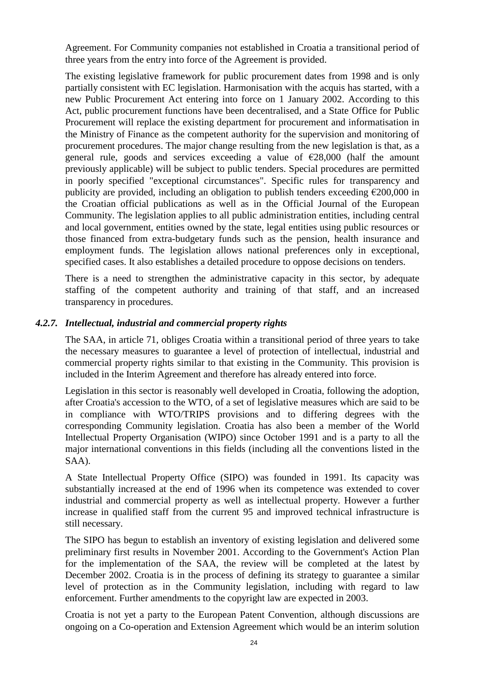Agreement. For Community companies not established in Croatia a transitional period of three years from the entry into force of the Agreement is provided.

The existing legislative framework for public procurement dates from 1998 and is only partially consistent with EC legislation. Harmonisation with the acquis has started, with a new Public Procurement Act entering into force on 1 January 2002. According to this Act, public procurement functions have been decentralised, and a State Office for Public Procurement will replace the existing department for procurement and informatisation in the Ministry of Finance as the competent authority for the supervision and monitoring of procurement procedures. The major change resulting from the new legislation is that, as a general rule, goods and services exceeding a value of  $\epsilon$ 28,000 (half the amount previously applicable) will be subject to public tenders. Special procedures are permitted in poorly specified "exceptional circumstances". Specific rules for transparency and publicity are provided, including an obligation to publish tenders exceeding  $\epsilon$ 200,000 in the Croatian official publications as well as in the Official Journal of the European Community. The legislation applies to all public administration entities, including central and local government, entities owned by the state, legal entities using public resources or those financed from extra-budgetary funds such as the pension, health insurance and employment funds. The legislation allows national preferences only in exceptional, specified cases. It also establishes a detailed procedure to oppose decisions on tenders.

There is a need to strengthen the administrative capacity in this sector, by adequate staffing of the competent authority and training of that staff, and an increased transparency in procedures.

#### *4.2.7. Intellectual, industrial and commercial property rights*

The SAA, in article 71, obliges Croatia within a transitional period of three years to take the necessary measures to guarantee a level of protection of intellectual, industrial and commercial property rights similar to that existing in the Community. This provision is included in the Interim Agreement and therefore has already entered into force.

Legislation in this sector is reasonably well developed in Croatia, following the adoption, after Croatia's accession to the WTO, of a set of legislative measures which are said to be in compliance with WTO/TRIPS provisions and to differing degrees with the corresponding Community legislation. Croatia has also been a member of the World Intellectual Property Organisation (WIPO) since October 1991 and is a party to all the major international conventions in this fields (including all the conventions listed in the SAA).

A State Intellectual Property Office (SIPO) was founded in 1991. Its capacity was substantially increased at the end of 1996 when its competence was extended to cover industrial and commercial property as well as intellectual property. However a further increase in qualified staff from the current 95 and improved technical infrastructure is still necessary.

The SIPO has begun to establish an inventory of existing legislation and delivered some preliminary first results in November 2001. According to the Government's Action Plan for the implementation of the SAA, the review will be completed at the latest by December 2002. Croatia is in the process of defining its strategy to guarantee a similar level of protection as in the Community legislation, including with regard to law enforcement. Further amendments to the copyright law are expected in 2003.

Croatia is not yet a party to the European Patent Convention, although discussions are ongoing on a Co-operation and Extension Agreement which would be an interim solution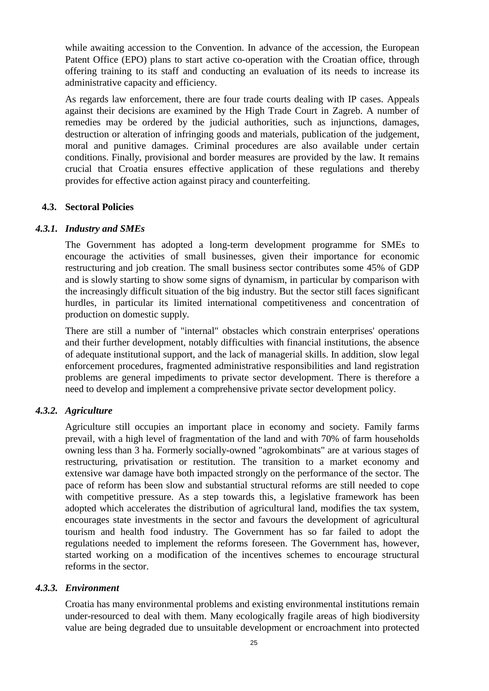<span id="page-24-0"></span>while awaiting accession to the Convention. In advance of the accession, the European Patent Office (EPO) plans to start active co-operation with the Croatian office, through offering training to its staff and conducting an evaluation of its needs to increase its administrative capacity and efficiency.

As regards law enforcement, there are four trade courts dealing with IP cases. Appeals against their decisions are examined by the High Trade Court in Zagreb. A number of remedies may be ordered by the judicial authorities, such as injunctions, damages, destruction or alteration of infringing goods and materials, publication of the judgement, moral and punitive damages. Criminal procedures are also available under certain conditions. Finally, provisional and border measures are provided by the law. It remains crucial that Croatia ensures effective application of these regulations and thereby provides for effective action against piracy and counterfeiting.

#### **4.3. Sectoral Policies**

#### *4.3.1. Industry and SMEs*

The Government has adopted a long-term development programme for SMEs to encourage the activities of small businesses, given their importance for economic restructuring and job creation. The small business sector contributes some 45% of GDP and is slowly starting to show some signs of dynamism, in particular by comparison with the increasingly difficult situation of the big industry. But the sector still faces significant hurdles, in particular its limited international competitiveness and concentration of production on domestic supply.

There are still a number of "internal" obstacles which constrain enterprises' operations and their further development, notably difficulties with financial institutions, the absence of adequate institutional support, and the lack of managerial skills. In addition, slow legal enforcement procedures, fragmented administrative responsibilities and land registration problems are general impediments to private sector development. There is therefore a need to develop and implement a comprehensive private sector development policy.

#### *4.3.2. Agriculture*

Agriculture still occupies an important place in economy and society. Family farms prevail, with a high level of fragmentation of the land and with 70% of farm households owning less than 3 ha. Formerly socially-owned "agrokombinats" are at various stages of restructuring, privatisation or restitution. The transition to a market economy and extensive war damage have both impacted strongly on the performance of the sector. The pace of reform has been slow and substantial structural reforms are still needed to cope with competitive pressure. As a step towards this, a legislative framework has been adopted which accelerates the distribution of agricultural land, modifies the tax system, encourages state investments in the sector and favours the development of agricultural tourism and health food industry. The Government has so far failed to adopt the regulations needed to implement the reforms foreseen. The Government has, however, started working on a modification of the incentives schemes to encourage structural reforms in the sector.

#### *4.3.3. Environment*

Croatia has many environmental problems and existing environmental institutions remain under-resourced to deal with them. Many ecologically fragile areas of high biodiversity value are being degraded due to unsuitable development or encroachment into protected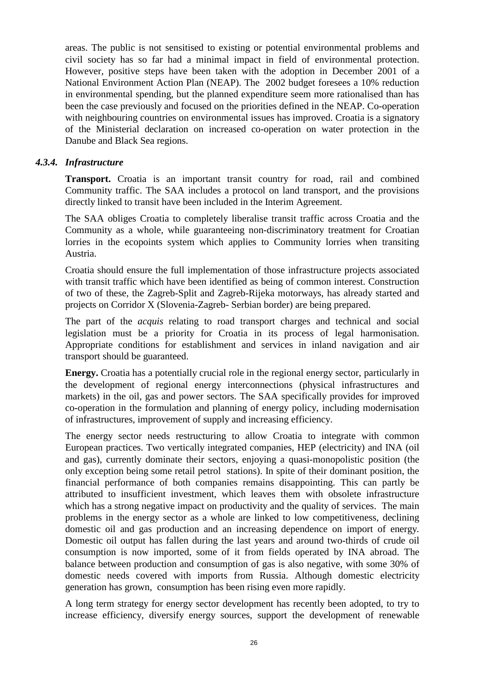areas. The public is not sensitised to existing or potential environmental problems and civil society has so far had a minimal impact in field of environmental protection. However, positive steps have been taken with the adoption in December 2001 of a National Environment Action Plan (NEAP). The 2002 budget foresees a 10% reduction in environmental spending, but the planned expenditure seem more rationalised than has been the case previously and focused on the priorities defined in the NEAP. Co-operation with neighbouring countries on environmental issues has improved. Croatia is a signatory of the Ministerial declaration on increased co-operation on water protection in the Danube and Black Sea regions.

#### *4.3.4. Infrastructure*

**Transport.** Croatia is an important transit country for road, rail and combined Community traffic. The SAA includes a protocol on land transport, and the provisions directly linked to transit have been included in the Interim Agreement.

The SAA obliges Croatia to completely liberalise transit traffic across Croatia and the Community as a whole, while guaranteeing non-discriminatory treatment for Croatian lorries in the ecopoints system which applies to Community lorries when transiting Austria.

Croatia should ensure the full implementation of those infrastructure projects associated with transit traffic which have been identified as being of common interest. Construction of two of these, the Zagreb-Split and Zagreb-Rijeka motorways, has already started and projects on Corridor X (Slovenia-Zagreb- Serbian border) are being prepared.

The part of the *acquis* relating to road transport charges and technical and social legislation must be a priority for Croatia in its process of legal harmonisation. Appropriate conditions for establishment and services in inland navigation and air transport should be guaranteed.

**Energy.** Croatia has a potentially crucial role in the regional energy sector, particularly in the development of regional energy interconnections (physical infrastructures and markets) in the oil, gas and power sectors. The SAA specifically provides for improved co-operation in the formulation and planning of energy policy, including modernisation of infrastructures, improvement of supply and increasing efficiency.

The energy sector needs restructuring to allow Croatia to integrate with common European practices. Two vertically integrated companies, HEP (electricity) and INA (oil and gas), currently dominate their sectors, enjoying a quasi-monopolistic position (the only exception being some retail petrol stations). In spite of their dominant position, the financial performance of both companies remains disappointing. This can partly be attributed to insufficient investment, which leaves them with obsolete infrastructure which has a strong negative impact on productivity and the quality of services. The main problems in the energy sector as a whole are linked to low competitiveness, declining domestic oil and gas production and an increasing dependence on import of energy*.* Domestic oil output has fallen during the last years and around two-thirds of crude oil consumption is now imported, some of it from fields operated by INA abroad. The balance between production and consumption of gas is also negative, with some 30% of domestic needs covered with imports from Russia. Although domestic electricity generation has grown, consumption has been rising even more rapidly.

A long term strategy for energy sector development has recently been adopted, to try to increase efficiency, diversify energy sources, support the development of renewable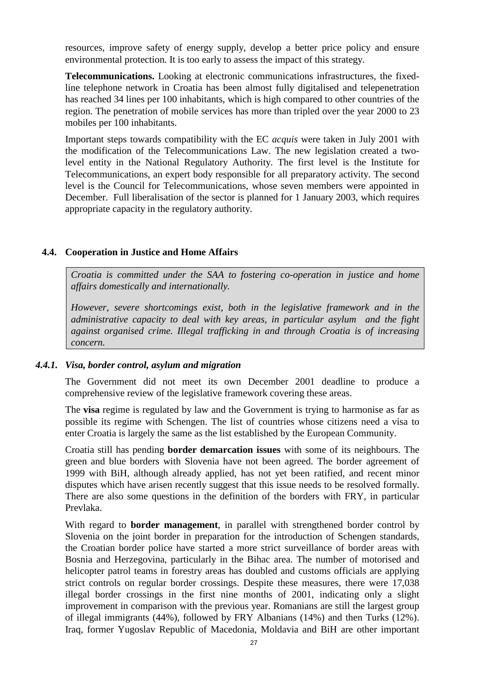<span id="page-26-0"></span>resources, improve safety of energy supply, develop a better price policy and ensure environmental protection. It is too early to assess the impact of this strategy.

**Telecommunications.** Looking at electronic communications infrastructures, the fixedline telephone network in Croatia has been almost fully digitalised and telepenetration has reached 34 lines per 100 inhabitants, which is high compared to other countries of the region. The penetration of mobile services has more than tripled over the year 2000 to 23 mobiles per 100 inhabitants.

Important steps towards compatibility with the EC *acquis* were taken in July 2001 with the modification of the Telecommunications Law. The new legislation created a twolevel entity in the National Regulatory Authority. The first level is the Institute for Telecommunications, an expert body responsible for all preparatory activity. The second level is the Council for Telecommunications, whose seven members were appointed in December. Full liberalisation of the sector is planned for 1 January 2003, which requires appropriate capacity in the regulatory authority.

#### **4.4. Cooperation in Justice and Home Affairs**

*Croatia is committed under the SAA to fostering co-operation in justice and home affairs domestically and internationally.*

*However, severe shortcomings exist, both in the legislative framework and in the administrative capacity to deal with key areas, in particular asylum and the fight against organised crime. Illegal trafficking in and through Croatia is of increasing concern.*

#### *4.4.1. Visa, border control, asylum and migration*

The Government did not meet its own December 2001 deadline to produce a comprehensive review of the legislative framework covering these areas.

The **visa** regime is regulated by law and the Government is trying to harmonise as far as possible its regime with Schengen. The list of countries whose citizens need a visa to enter Croatia is largely the same as the list established by the European Community.

Croatia still has pending **border demarcation issues** with some of its neighbours. The green and blue borders with Slovenia have not been agreed. The border agreement of 1999 with BiH, although already applied, has not yet been ratified, and recent minor disputes which have arisen recently suggest that this issue needs to be resolved formally. There are also some questions in the definition of the borders with FRY, in particular Prevlaka.

With regard to **border management**, in parallel with strengthened border control by Slovenia on the joint border in preparation for the introduction of Schengen standards, the Croatian border police have started a more strict surveillance of border areas with Bosnia and Herzegovina, particularly in the Bihac area. The number of motorised and helicopter patrol teams in forestry areas has doubled and customs officials are applying strict controls on regular border crossings. Despite these measures, there were 17,038 illegal border crossings in the first nine months of 2001, indicating only a slight improvement in comparison with the previous year. Romanians are still the largest group of illegal immigrants (44%), followed by FRY Albanians (14%) and then Turks (12%). Iraq, former Yugoslav Republic of Macedonia, Moldavia and BiH are other important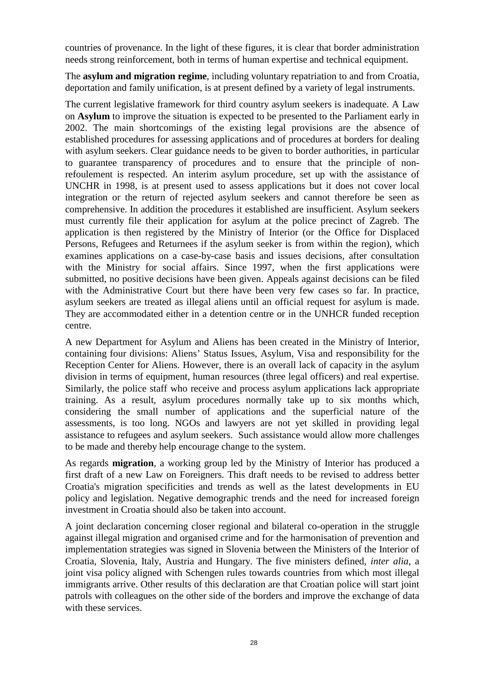countries of provenance. In the light of these figures, it is clear that border administration needs strong reinforcement, both in terms of human expertise and technical equipment.

The **asylum and migration regime**, including voluntary repatriation to and from Croatia, deportation and family unification, is at present defined by a variety of legal instruments.

The current legislative framework for third country asylum seekers is inadequate. A Law on **Asylum** to improve the situation is expected to be presented to the Parliament early in 2002. The main shortcomings of the existing legal provisions are the absence of established procedures for assessing applications and of procedures at borders for dealing with asylum seekers. Clear guidance needs to be given to border authorities, in particular to guarantee transparency of procedures and to ensure that the principle of nonrefoulement is respected. An interim asylum procedure, set up with the assistance of UNCHR in 1998, is at present used to assess applications but it does not cover local integration or the return of rejected asylum seekers and cannot therefore be seen as comprehensive. In addition the procedures it established are insufficient. Asylum seekers must currently file their application for asylum at the police precinct of Zagreb. The application is then registered by the Ministry of Interior (or the Office for Displaced Persons, Refugees and Returnees if the asylum seeker is from within the region), which examines applications on a case-by-case basis and issues decisions, after consultation with the Ministry for social affairs. Since 1997, when the first applications were submitted, no positive decisions have been given. Appeals against decisions can be filed with the Administrative Court but there have been very few cases so far. In practice, asylum seekers are treated as illegal aliens until an official request for asylum is made. They are accommodated either in a detention centre or in the UNHCR funded reception centre.

A new Department for Asylum and Aliens has been created in the Ministry of Interior, containing four divisions: Aliens' Status Issues, Asylum, Visa and responsibility for the Reception Center for Aliens. However, there is an overall lack of capacity in the asylum division in terms of equipment, human resources (three legal officers) and real expertise. Similarly, the police staff who receive and process asylum applications lack appropriate training. As a result, asylum procedures normally take up to six months which, considering the small number of applications and the superficial nature of the assessments, is too long. NGOs and lawyers are not yet skilled in providing legal assistance to refugees and asylum seekers. Such assistance would allow more challenges to be made and thereby help encourage change to the system.

As regards **migration**, a working group led by the Ministry of Interior has produced a first draft of a new Law on Foreigners. This draft needs to be revised to address better Croatia's migration specificities and trends as well as the latest developments in EU policy and legislation. Negative demographic trends and the need for increased foreign investment in Croatia should also be taken into account.

A joint declaration concerning closer regional and bilateral co-operation in the struggle against illegal migration and organised crime and for the harmonisation of prevention and implementation strategies was signed in Slovenia between the Ministers of the Interior of Croatia, Slovenia, Italy, Austria and Hungary. The five ministers defined, *inter alia*, a joint visa policy aligned with Schengen rules towards countries from which most illegal immigrants arrive. Other results of this declaration are that Croatian police will start joint patrols with colleagues on the other side of the borders and improve the exchange of data with these services.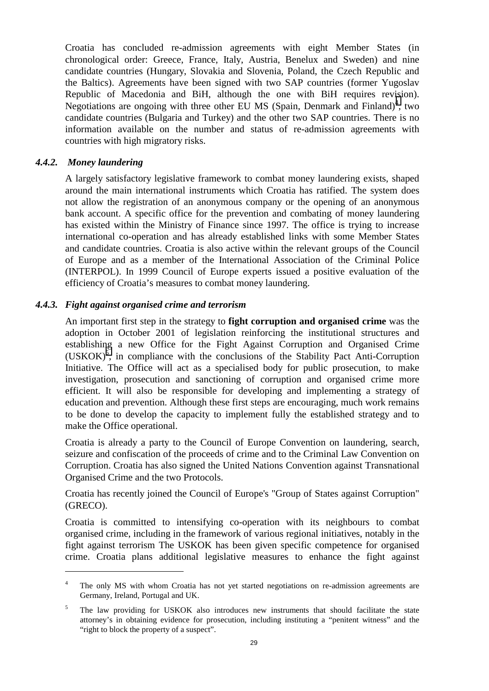Croatia has concluded re-admission agreements with eight Member States (in chronological order: Greece, France, Italy, Austria, Benelux and Sweden) and nine candidate countries (Hungary, Slovakia and Slovenia, Poland, the Czech Republic and the Baltics). Agreements have been signed with two SAP countries (former Yugoslav Republic of Macedonia and BiH, although the one with BiH requires revision). Negotiations are ongoing with three other EU MS (Spain, Denmark and Finland)<sup>4</sup>, two candidate countries (Bulgaria and Turkey) and the other two SAP countries. There is no information available on the number and status of re-admission agreements with countries with high migratory risks.

#### *4.4.2. Money laundering*

A largely satisfactory legislative framework to combat money laundering exists, shaped around the main international instruments which Croatia has ratified. The system does not allow the registration of an anonymous company or the opening of an anonymous bank account. A specific office for the prevention and combating of money laundering has existed within the Ministry of Finance since 1997. The office is trying to increase international co-operation and has already established links with some Member States and candidate countries. Croatia is also active within the relevant groups of the Council of Europe and as a member of the International Association of the Criminal Police (INTERPOL). In 1999 Council of Europe experts issued a positive evaluation of the efficiency of Croatia's measures to combat money laundering.

#### *4.4.3. Fight against organised crime and terrorism*

An important first step in the strategy to **fight corruption and organised crime** was the adoption in October 2001 of legislation reinforcing the institutional structures and establishing a new Office for the Fight Against Corruption and Organised Crime  $(USKOK)^5$ , in compliance with the conclusions of the Stability Pact Anti-Corruption Initiative. The Office will act as a specialised body for public prosecution, to make investigation, prosecution and sanctioning of corruption and organised crime more efficient. It will also be responsible for developing and implementing a strategy of education and prevention. Although these first steps are encouraging, much work remains to be done to develop the capacity to implement fully the established strategy and to make the Office operational.

Croatia is already a party to the Council of Europe Convention on laundering, search, seizure and confiscation of the proceeds of crime and to the Criminal Law Convention on Corruption. Croatia has also signed the United Nations Convention against Transnational Organised Crime and the two Protocols.

Croatia has recently joined the Council of Europe's "Group of States against Corruption" (GRECO).

Croatia is committed to intensifying co-operation with its neighbours to combat organised crime, including in the framework of various regional initiatives, notably in the fight against terrorism The USKOK has been given specific competence for organised crime. Croatia plans additional legislative measures to enhance the fight against

<sup>4</sup> The only MS with whom Croatia has not yet started negotiations on re-admission agreements are Germany, Ireland, Portugal and UK.

<sup>5</sup> The law providing for USKOK also introduces new instruments that should facilitate the state attorney's in obtaining evidence for prosecution, including instituting a "penitent witness" and the "right to block the property of a suspect".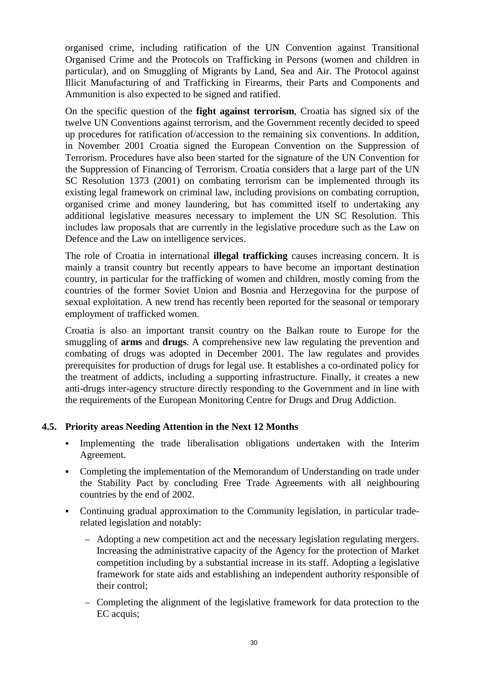<span id="page-29-0"></span>organised crime, including ratification of the UN Convention against Transitional Organised Crime and the Protocols on Trafficking in Persons (women and children in particular), and on Smuggling of Migrants by Land, Sea and Air. The Protocol against Illicit Manufacturing of and Trafficking in Firearms, their Parts and Components and Ammunition is also expected to be signed and ratified.

On the specific question of the **fight against terrorism**, Croatia has signed six of the twelve UN Conventions against terrorism, and the Government recently decided to speed up procedures for ratification of/accession to the remaining six conventions. In addition, in November 2001 Croatia signed the European Convention on the Suppression of Terrorism. Procedures have also been started for the signature of the UN Convention for the Suppression of Financing of Terrorism. Croatia considers that a large part of the UN SC Resolution 1373 (2001) on combating terrorism can be implemented through its existing legal framework on criminal law, including provisions on combating corruption, organised crime and money laundering, but has committed itself to undertaking any additional legislative measures necessary to implement the UN SC Resolution. This includes law proposals that are currently in the legislative procedure such as the Law on Defence and the Law on intelligence services.

The role of Croatia in international **illegal trafficking** causes increasing concern. It is mainly a transit country but recently appears to have become an important destination country, in particular for the trafficking of women and children, mostly coming from the countries of the former Soviet Union and Bosnia and Herzegovina for the purpose of sexual exploitation. A new trend has recently been reported for the seasonal or temporary employment of trafficked women.

Croatia is also an important transit country on the Balkan route to Europe for the smuggling of **arms** and **drugs**. A comprehensive new law regulating the prevention and combating of drugs was adopted in December 2001. The law regulates and provides prerequisites for production of drugs for legal use. It establishes a co-ordinated policy for the treatment of addicts, including a supporting infrastructure. Finally, it creates a new anti-drugs inter-agency structure directly responding to the Government and in line with the requirements of the European Monitoring Centre for Drugs and Drug Addiction.

#### **4.5. Priority areas Needing Attention in the Next 12 Months**

- Implementing the trade liberalisation obligations undertaken with the Interim Agreement.
- Completing the implementation of the Memorandum of Understanding on trade under the Stability Pact by concluding Free Trade Agreements with all neighbouring countries by the end of 2002.
- Continuing gradual approximation to the Community legislation, in particular traderelated legislation and notably:
	- Adopting a new competition act and the necessary legislation regulating mergers. Increasing the administrative capacity of the Agency for the protection of Market competition including by a substantial increase in its staff. Adopting a legislative framework for state aids and establishing an independent authority responsible of their control;
	- Completing the alignment of the legislative framework for data protection to the EC acquis;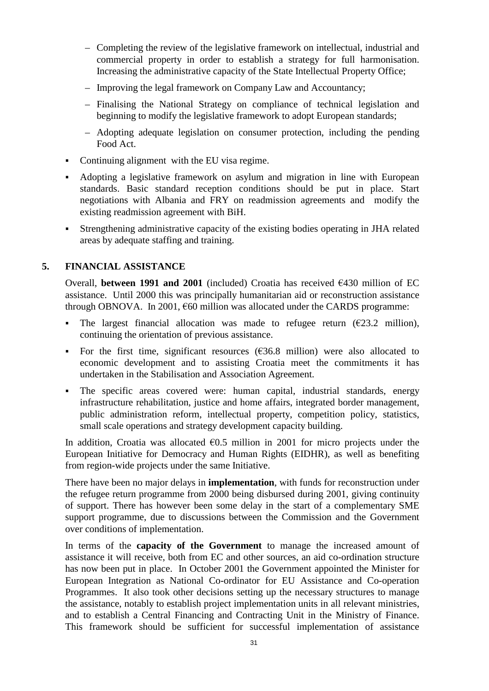- <span id="page-30-0"></span>– Completing the review of the legislative framework on intellectual, industrial and commercial property in order to establish a strategy for full harmonisation. Increasing the administrative capacity of the State Intellectual Property Office;
- Improving the legal framework on Company Law and Accountancy;
- Finalising the National Strategy on compliance of technical legislation and beginning to modify the legislative framework to adopt European standards;
- Adopting adequate legislation on consumer protection, including the pending Food Act.
- Continuing alignment with the EU visa regime.
- Adopting a legislative framework on asylum and migration in line with European standards. Basic standard reception conditions should be put in place. Start negotiations with Albania and FRY on readmission agreements and modify the existing readmission agreement with BiH.
- Strengthening administrative capacity of the existing bodies operating in JHA related areas by adequate staffing and training.

## **5. FINANCIAL ASSISTANCE**

Overall, **between 1991 and 2001** (included) Croatia has received  $\epsilon$ 430 million of EC assistance. Until 2000 this was principally humanitarian aid or reconstruction assistance through OBNOVA. In 2001,  $660$  million was allocated under the CARDS programme:

- The largest financial allocation was made to refugee return  $(\epsilon 23.2 \text{ million})$ , continuing the orientation of previous assistance.
- For the first time, significant resources  $(\epsilon 36.8 \text{ million})$  were also allocated to economic development and to assisting Croatia meet the commitments it has undertaken in the Stabilisation and Association Agreement.
- The specific areas covered were: human capital, industrial standards, energy infrastructure rehabilitation, justice and home affairs, integrated border management, public administration reform, intellectual property, competition policy, statistics, small scale operations and strategy development capacity building.

In addition, Croatia was allocated  $\epsilon$ 0.5 million in 2001 for micro projects under the European Initiative for Democracy and Human Rights (EIDHR), as well as benefiting from region-wide projects under the same Initiative.

There have been no major delays in **implementation**, with funds for reconstruction under the refugee return programme from 2000 being disbursed during 2001, giving continuity of support. There has however been some delay in the start of a complementary SME support programme, due to discussions between the Commission and the Government over conditions of implementation.

In terms of the **capacity of the Government** to manage the increased amount of assistance it will receive, both from EC and other sources, an aid co-ordination structure has now been put in place. In October 2001 the Government appointed the Minister for European Integration as National Co-ordinator for EU Assistance and Co-operation Programmes. It also took other decisions setting up the necessary structures to manage the assistance, notably to establish project implementation units in all relevant ministries, and to establish a Central Financing and Contracting Unit in the Ministry of Finance. This framework should be sufficient for successful implementation of assistance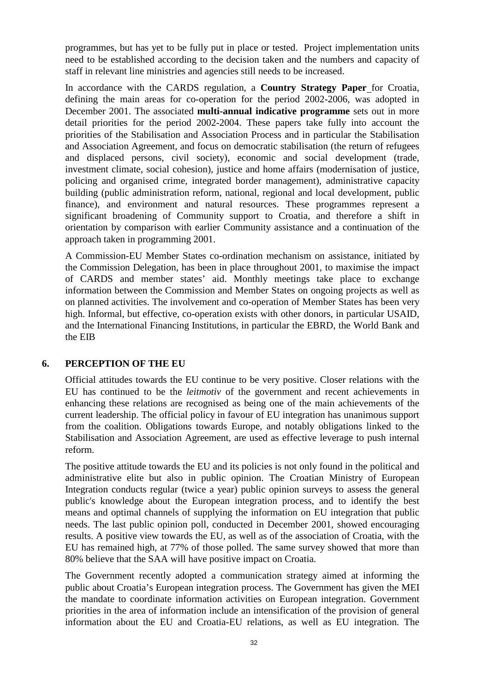<span id="page-31-0"></span>programmes, but has yet to be fully put in place or tested. Project implementation units need to be established according to the decision taken and the numbers and capacity of staff in relevant line ministries and agencies still needs to be increased.

In accordance with the CARDS regulation, a **Country Strategy Paper** for Croatia, defining the main areas for co-operation for the period 2002-2006, was adopted in December 2001. The associated **multi-annual indicative programme** sets out in more detail priorities for the period 2002-2004. These papers take fully into account the priorities of the Stabilisation and Association Process and in particular the Stabilisation and Association Agreement, and focus on democratic stabilisation (the return of refugees and displaced persons, civil society), economic and social development (trade, investment climate, social cohesion), justice and home affairs (modernisation of justice, policing and organised crime, integrated border management), administrative capacity building (public administration reform, national, regional and local development, public finance), and environment and natural resources. These programmes represent a significant broadening of Community support to Croatia, and therefore a shift in orientation by comparison with earlier Community assistance and a continuation of the approach taken in programming 2001.

A Commission-EU Member States co-ordination mechanism on assistance, initiated by the Commission Delegation, has been in place throughout 2001, to maximise the impact of CARDS and member states' aid. Monthly meetings take place to exchange information between the Commission and Member States on ongoing projects as well as on planned activities. The involvement and co-operation of Member States has been very high. Informal, but effective, co-operation exists with other donors, in particular USAID, and the International Financing Institutions, in particular the EBRD, the World Bank and the EIB

#### **6. PERCEPTION OF THE EU**

Official attitudes towards the EU continue to be very positive. Closer relations with the EU has continued to be the *leitmotiv* of the government and recent achievements in enhancing these relations are recognised as being one of the main achievements of the current leadership. The official policy in favour of EU integration has unanimous support from the coalition. Obligations towards Europe, and notably obligations linked to the Stabilisation and Association Agreement, are used as effective leverage to push internal reform.

The positive attitude towards the EU and its policies is not only found in the political and administrative elite but also in public opinion. The Croatian Ministry of European Integration conducts regular (twice a year) public opinion surveys to assess the general public's knowledge about the European integration process, and to identify the best means and optimal channels of supplying the information on EU integration that public needs. The last public opinion poll, conducted in December 2001, showed encouraging results. A positive view towards the EU, as well as of the association of Croatia, with the EU has remained high, at 77% of those polled. The same survey showed that more than 80% believe that the SAA will have positive impact on Croatia.

The Government recently adopted a communication strategy aimed at informing the public about Croatia's European integration process. The Government has given the MEI the mandate to coordinate information activities on European integration. Government priorities in the area of information include an intensification of the provision of general information about the EU and Croatia-EU relations, as well as EU integration. The